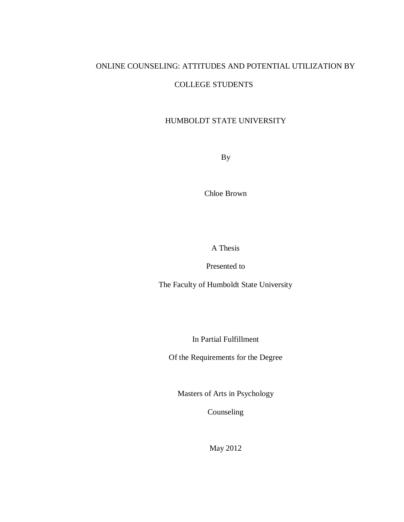# ONLINE COUNSELING: ATTITUDES AND POTENTIAL UTILIZATION BY

# COLLEGE STUDENTS

# HUMBOLDT STATE UNIVERSITY

By

Chloe Brown

A Thesis

Presented to

The Faculty of Humboldt State University

In Partial Fulfillment

Of the Requirements for the Degree

Masters of Arts in Psychology

Counseling

May 2012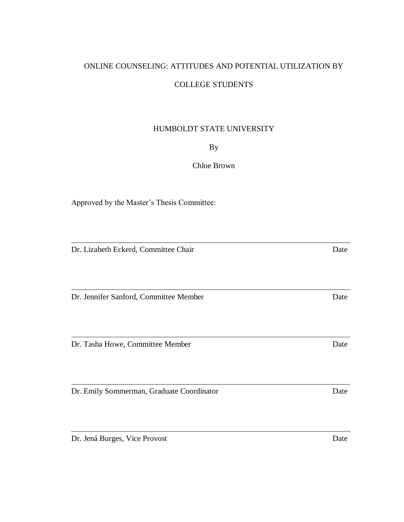# ONLINE COUNSELING: ATTITUDES AND POTENTIAL UTILIZATION BY

## COLLEGE STUDENTS

## HUMBOLDT STATE UNIVERSITY

## By

## Chloe Brown

Approved by the Master's Thesis Committee:

Dr. Lizabeth Eckerd, Committee Chair Date

Dr. Jennifer Sanford, Committee Member Date

Dr. Tasha Howe, Committee Member Date

Dr. Emily Sommerman, Graduate Coordinator Date

Dr. Jená Burges, Vice Provost Date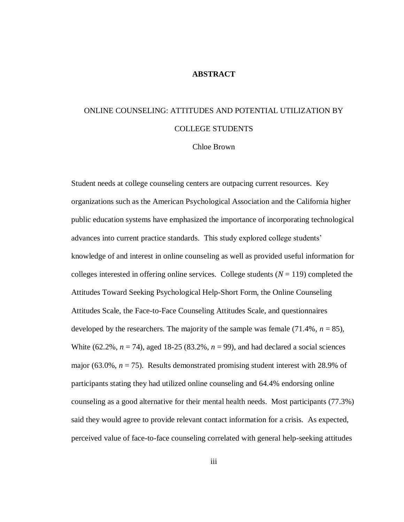#### **ABSTRACT**

# <span id="page-2-0"></span>ONLINE COUNSELING: ATTITUDES AND POTENTIAL UTILIZATION BY COLLEGE STUDENTS

#### Chloe Brown

Student needs at college counseling centers are outpacing current resources. Key organizations such as the American Psychological Association and the California higher public education systems have emphasized the importance of incorporating technological advances into current practice standards. This study explored college students' knowledge of and interest in online counseling as well as provided useful information for colleges interested in offering online services. College students  $(N = 119)$  completed the Attitudes Toward Seeking Psychological Help-Short Form, the Online Counseling Attitudes Scale, the Face-to-Face Counseling Attitudes Scale, and questionnaires developed by the researchers. The majority of the sample was female  $(71.4\%, n = 85)$ , White  $(62.2\%, n = 74)$ , aged  $18-25(83.2\%, n = 99)$ , and had declared a social sciences major (63.0%,  $n = 75$ ). Results demonstrated promising student interest with 28.9% of participants stating they had utilized online counseling and 64.4% endorsing online counseling as a good alternative for their mental health needs. Most participants (77.3%) said they would agree to provide relevant contact information for a crisis. As expected, perceived value of face-to-face counseling correlated with general help-seeking attitudes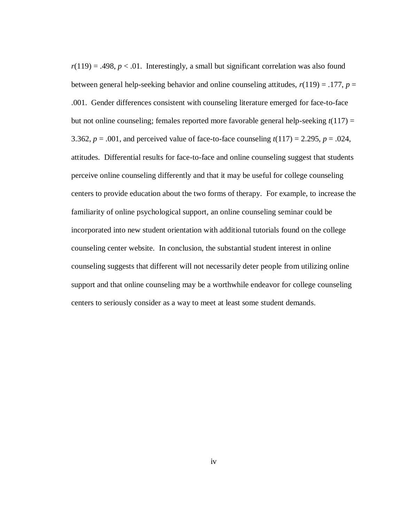$r(119) = .498$ ,  $p < .01$ . Interestingly, a small but significant correlation was also found between general help-seeking behavior and online counseling attitudes,  $r(119) = .177$ ,  $p =$ .001. Gender differences consistent with counseling literature emerged for face-to-face but not online counseling; females reported more favorable general help-seeking *t*(117) = 3.362,  $p = .001$ , and perceived value of face-to-face counseling  $t(117) = 2.295$ ,  $p = .024$ , attitudes. Differential results for face-to-face and online counseling suggest that students perceive online counseling differently and that it may be useful for college counseling centers to provide education about the two forms of therapy. For example, to increase the familiarity of online psychological support, an online counseling seminar could be incorporated into new student orientation with additional tutorials found on the college counseling center website. In conclusion, the substantial student interest in online counseling suggests that different will not necessarily deter people from utilizing online support and that online counseling may be a worthwhile endeavor for college counseling centers to seriously consider as a way to meet at least some student demands.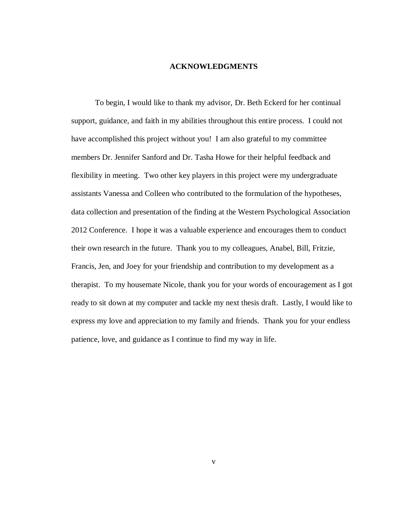#### **ACKNOWLEDGMENTS**

<span id="page-4-0"></span>To begin, I would like to thank my advisor, Dr. Beth Eckerd for her continual support, guidance, and faith in my abilities throughout this entire process. I could not have accomplished this project without you! I am also grateful to my committee members Dr. Jennifer Sanford and Dr. Tasha Howe for their helpful feedback and flexibility in meeting. Two other key players in this project were my undergraduate assistants Vanessa and Colleen who contributed to the formulation of the hypotheses, data collection and presentation of the finding at the Western Psychological Association 2012 Conference. I hope it was a valuable experience and encourages them to conduct their own research in the future. Thank you to my colleagues, Anabel, Bill, Fritzie, Francis, Jen, and Joey for your friendship and contribution to my development as a therapist. To my housemate Nicole, thank you for your words of encouragement as I got ready to sit down at my computer and tackle my next thesis draft. Lastly, I would like to express my love and appreciation to my family and friends. Thank you for your endless patience, love, and guidance as I continue to find my way in life.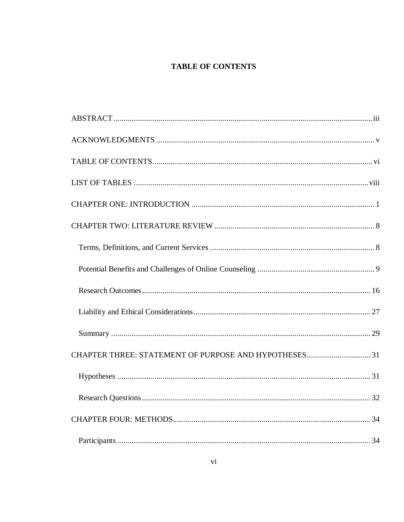# **TABLE OF CONTENTS**

<span id="page-5-0"></span>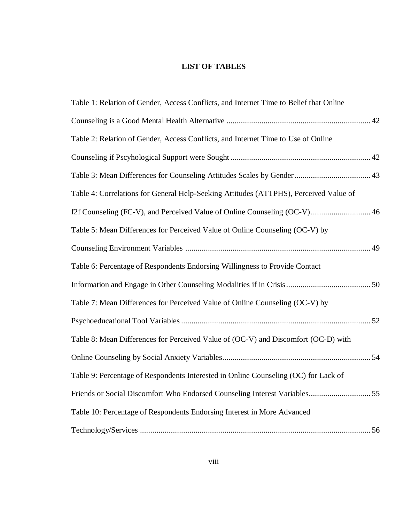# **LIST OF TABLES**

<span id="page-7-0"></span>

| Table 1: Relation of Gender, Access Conflicts, and Internet Time to Belief that Online |  |
|----------------------------------------------------------------------------------------|--|
|                                                                                        |  |
| Table 2: Relation of Gender, Access Conflicts, and Internet Time to Use of Online      |  |
|                                                                                        |  |
|                                                                                        |  |
| Table 4: Correlations for General Help-Seeking Attitudes (ATTPHS), Perceived Value of  |  |
| f2f Counseling (FC-V), and Perceived Value of Online Counseling (OC-V) 46              |  |
| Table 5: Mean Differences for Perceived Value of Online Counseling (OC-V) by           |  |
|                                                                                        |  |
| Table 6: Percentage of Respondents Endorsing Willingness to Provide Contact            |  |
|                                                                                        |  |
| Table 7: Mean Differences for Perceived Value of Online Counseling (OC-V) by           |  |
|                                                                                        |  |
| Table 8: Mean Differences for Perceived Value of (OC-V) and Discomfort (OC-D) with     |  |
|                                                                                        |  |
| Table 9: Percentage of Respondents Interested in Online Counseling (OC) for Lack of    |  |
| Friends or Social Discomfort Who Endorsed Counseling Interest Variables 55             |  |
| Table 10: Percentage of Respondents Endorsing Interest in More Advanced                |  |
|                                                                                        |  |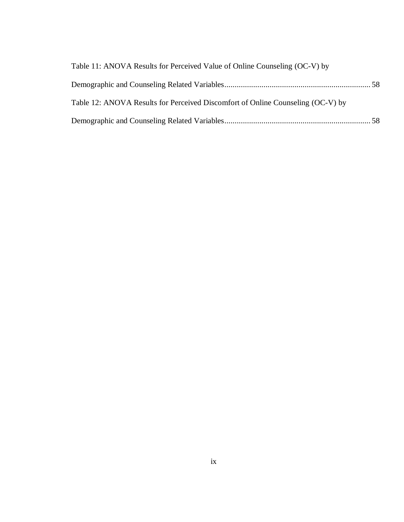| Table 11: ANOVA Results for Perceived Value of Online Counseling (OC-V) by      |  |
|---------------------------------------------------------------------------------|--|
|                                                                                 |  |
| Table 12: ANOVA Results for Perceived Discomfort of Online Counseling (OC-V) by |  |
|                                                                                 |  |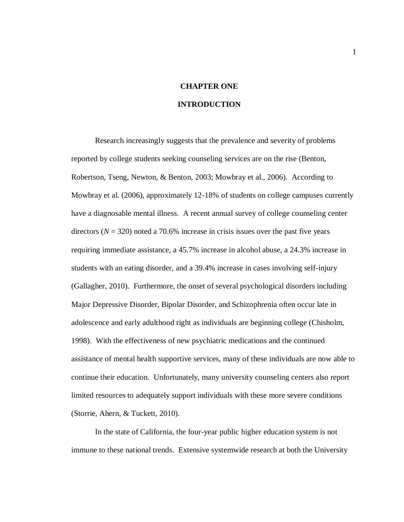# **CHAPTER ONE INTRODUCTION**

<span id="page-9-0"></span>Research increasingly suggests that the prevalence and severity of problems reported by college students seeking counseling services are on the rise (Benton, Robertson, Tseng, Newton, & Benton, 2003; Mowbray et al., 2006). According to Mowbray et al. (2006), approximately 12-18% of students on college campuses currently have a diagnosable mental illness. A recent annual survey of college counseling center directors  $(N = 320)$  noted a 70.6% increase in crisis issues over the past five years requiring immediate assistance, a 45.7% increase in alcohol abuse, a 24.3% increase in students with an eating disorder, and a 39.4% increase in cases involving self-injury (Gallagher, 2010). Furthermore, the onset of several psychological disorders including Major Depressive Disorder, Bipolar Disorder, and Schizophrenia often occur late in adolescence and early adulthood right as individuals are beginning college (Chisholm, 1998). With the effectiveness of new psychiatric medications and the continued assistance of mental health supportive services, many of these individuals are now able to continue their education. Unfortunately, many university counseling centers also report limited resources to adequately support individuals with these more severe conditions (Storrie, Ahern, & Tuckett, 2010).

In the state of California, the four-year public higher education system is not immune to these national trends. Extensive systemwide research at both the University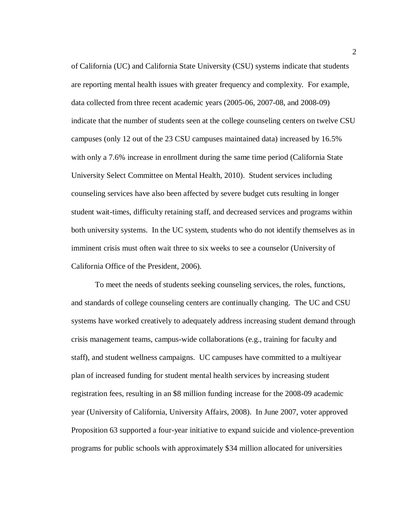of California (UC) and California State University (CSU) systems indicate that students are reporting mental health issues with greater frequency and complexity. For example, data collected from three recent academic years (2005-06, 2007-08, and 2008-09) indicate that the number of students seen at the college counseling centers on twelve CSU campuses (only 12 out of the 23 CSU campuses maintained data) increased by 16.5% with only a 7.6% increase in enrollment during the same time period (California State University Select Committee on Mental Health, 2010). Student services including counseling services have also been affected by severe budget cuts resulting in longer student wait-times, difficulty retaining staff, and decreased services and programs within both university systems. In the UC system, students who do not identify themselves as in imminent crisis must often wait three to six weeks to see a counselor (University of California Office of the President, 2006).

To meet the needs of students seeking counseling services, the roles, functions, and standards of college counseling centers are continually changing. The UC and CSU systems have worked creatively to adequately address increasing student demand through crisis management teams, campus-wide collaborations (e.g., training for faculty and staff), and student wellness campaigns. UC campuses have committed to a multiyear plan of increased funding for student mental health services by increasing student registration fees, resulting in an \$8 million funding increase for the 2008-09 academic year (University of California, University Affairs, 2008). In June 2007, voter approved Proposition 63 supported a four-year initiative to expand suicide and violence-prevention programs for public schools with approximately \$34 million allocated for universities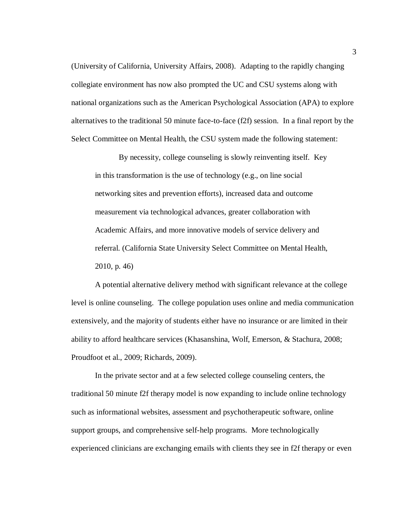(University of California, University Affairs, 2008). Adapting to the rapidly changing collegiate environment has now also prompted the UC and CSU systems along with national organizations such as the American Psychological Association (APA) to explore alternatives to the traditional 50 minute face-to-face (f2f) session. In a final report by the Select Committee on Mental Health, the CSU system made the following statement:

By necessity, college counseling is slowly reinventing itself. Key in this transformation is the use of technology (e.g., on line social networking sites and prevention efforts), increased data and outcome measurement via technological advances, greater collaboration with Academic Affairs, and more innovative models of service delivery and referral. (California State University Select Committee on Mental Health, 2010, p. 46)

A potential alternative delivery method with significant relevance at the college level is online counseling. The college population uses online and media communication extensively, and the majority of students either have no insurance or are limited in their ability to afford healthcare services (Khasanshina, Wolf, Emerson, & Stachura, 2008; Proudfoot et al., 2009; Richards, 2009).

In the private sector and at a few selected college counseling centers, the traditional 50 minute f2f therapy model is now expanding to include online technology such as informational websites, assessment and psychotherapeutic software, online support groups, and comprehensive self-help programs. More technologically experienced clinicians are exchanging emails with clients they see in f2f therapy or even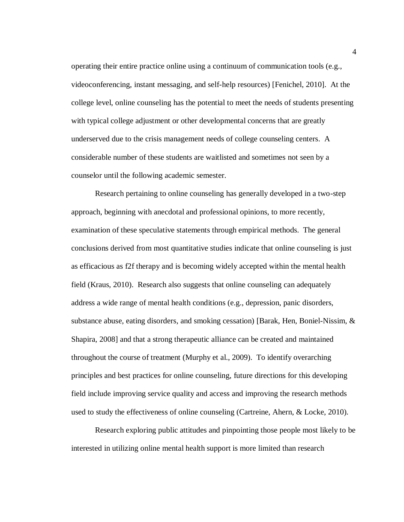operating their entire practice online using a continuum of communication tools (e.g., videoconferencing, instant messaging, and self-help resources) [Fenichel, 2010]. At the college level, online counseling has the potential to meet the needs of students presenting with typical college adjustment or other developmental concerns that are greatly underserved due to the crisis management needs of college counseling centers. A considerable number of these students are waitlisted and sometimes not seen by a counselor until the following academic semester.

Research pertaining to online counseling has generally developed in a two-step approach, beginning with anecdotal and professional opinions, to more recently, examination of these speculative statements through empirical methods. The general conclusions derived from most quantitative studies indicate that online counseling is just as efficacious as f2f therapy and is becoming widely accepted within the mental health field (Kraus, 2010). Research also suggests that online counseling can adequately address a wide range of mental health conditions (e.g., depression, panic disorders, substance abuse, eating disorders, and smoking cessation) [Barak, Hen, Boniel-Nissim, & Shapira, 2008] and that a strong therapeutic alliance can be created and maintained throughout the course of treatment (Murphy et al., 2009). To identify overarching principles and best practices for online counseling, future directions for this developing field include improving service quality and access and improving the research methods used to study the effectiveness of online counseling (Cartreine, Ahern, & Locke, 2010).

Research exploring public attitudes and pinpointing those people most likely to be interested in utilizing online mental health support is more limited than research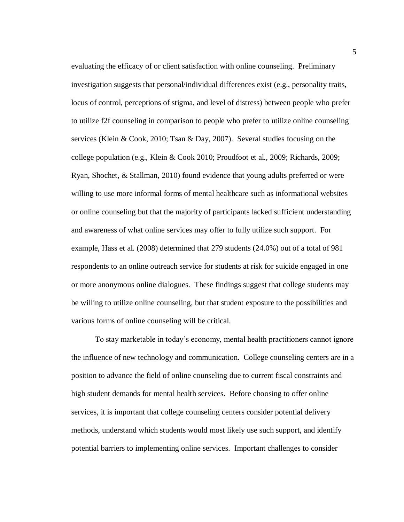evaluating the efficacy of or client satisfaction with online counseling. Preliminary investigation suggests that personal/individual differences exist (e.g., personality traits, locus of control, perceptions of stigma, and level of distress) between people who prefer to utilize f2f counseling in comparison to people who prefer to utilize online counseling services (Klein & Cook, 2010; Tsan & Day, 2007). Several studies focusing on the college population (e.g., Klein & Cook 2010; Proudfoot et al., 2009; Richards, 2009; Ryan, Shochet, & Stallman, 2010) found evidence that young adults preferred or were willing to use more informal forms of mental healthcare such as informational websites or online counseling but that the majority of participants lacked sufficient understanding and awareness of what online services may offer to fully utilize such support. For example, Hass et al. (2008) determined that 279 students (24.0%) out of a total of 981 respondents to an online outreach service for students at risk for suicide engaged in one or more anonymous online dialogues. These findings suggest that college students may be willing to utilize online counseling, but that student exposure to the possibilities and various forms of online counseling will be critical.

To stay marketable in today's economy, mental health practitioners cannot ignore the influence of new technology and communication. College counseling centers are in a position to advance the field of online counseling due to current fiscal constraints and high student demands for mental health services. Before choosing to offer online services, it is important that college counseling centers consider potential delivery methods, understand which students would most likely use such support, and identify potential barriers to implementing online services. Important challenges to consider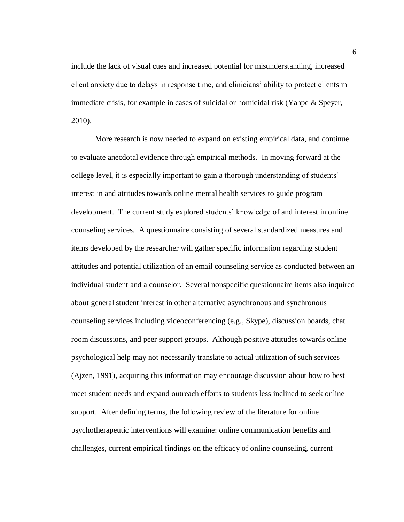include the lack of visual cues and increased potential for misunderstanding, increased client anxiety due to delays in response time, and clinicians' ability to protect clients in immediate crisis, for example in cases of suicidal or homicidal risk (Yahpe  $\&$  Speyer, 2010).

More research is now needed to expand on existing empirical data, and continue to evaluate anecdotal evidence through empirical methods. In moving forward at the college level, it is especially important to gain a thorough understanding of students' interest in and attitudes towards online mental health services to guide program development. The current study explored students' knowledge of and interest in online counseling services. A questionnaire consisting of several standardized measures and items developed by the researcher will gather specific information regarding student attitudes and potential utilization of an email counseling service as conducted between an individual student and a counselor. Several nonspecific questionnaire items also inquired about general student interest in other alternative asynchronous and synchronous counseling services including videoconferencing (e.g., Skype), discussion boards, chat room discussions, and peer support groups. Although positive attitudes towards online psychological help may not necessarily translate to actual utilization of such services (Ajzen, 1991), acquiring this information may encourage discussion about how to best meet student needs and expand outreach efforts to students less inclined to seek online support. After defining terms, the following review of the literature for online psychotherapeutic interventions will examine: online communication benefits and challenges, current empirical findings on the efficacy of online counseling, current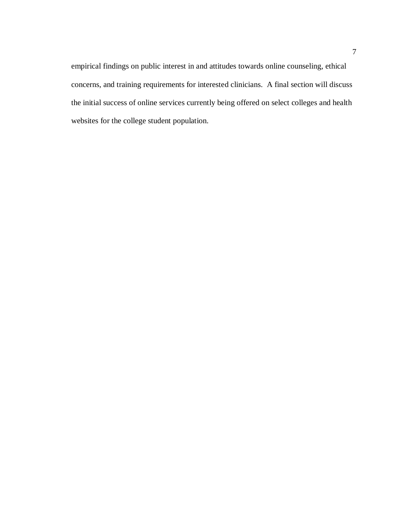empirical findings on public interest in and attitudes towards online counseling, ethical concerns, and training requirements for interested clinicians. A final section will discuss the initial success of online services currently being offered on select colleges and health websites for the college student population.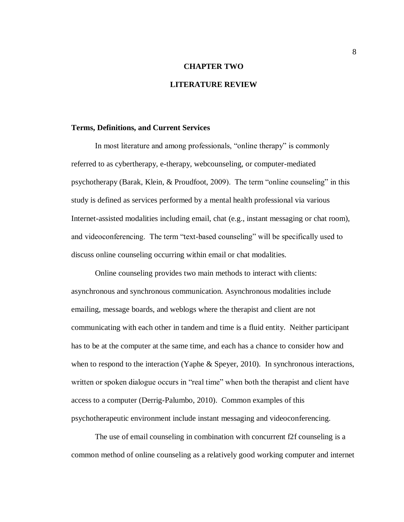## **CHAPTER TWO**

### **LITERATURE REVIEW**

#### <span id="page-16-1"></span><span id="page-16-0"></span>**Terms, Definitions, and Current Services**

In most literature and among professionals, "online therapy" is commonly referred to as cybertherapy, e-therapy, webcounseling, or computer-mediated psychotherapy (Barak, Klein, & Proudfoot, 2009). The term "online counseling" in this study is defined as services performed by a mental health professional via various Internet-assisted modalities including email, chat (e.g., instant messaging or chat room), and videoconferencing. The term "text-based counseling" will be specifically used to discuss online counseling occurring within email or chat modalities.

Online counseling provides two main methods to interact with clients: asynchronous and synchronous communication. Asynchronous modalities include emailing, message boards, and weblogs where the therapist and client are not communicating with each other in tandem and time is a fluid entity. Neither participant has to be at the computer at the same time, and each has a chance to consider how and when to respond to the interaction (Yaphe & Speyer, 2010). In synchronous interactions, written or spoken dialogue occurs in "real time" when both the therapist and client have access to a computer (Derrig-Palumbo, 2010). Common examples of this psychotherapeutic environment include instant messaging and videoconferencing.

The use of email counseling in combination with concurrent f2f counseling is a common method of online counseling as a relatively good working computer and internet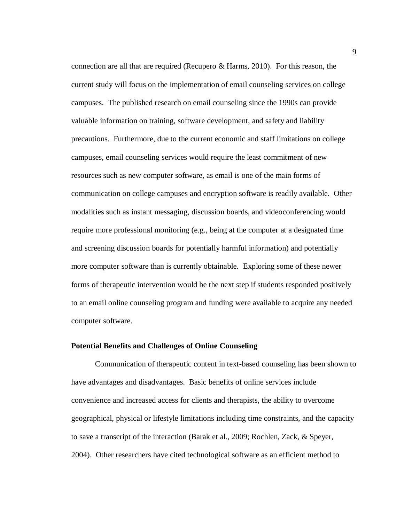connection are all that are required (Recupero & Harms, 2010). For this reason, the current study will focus on the implementation of email counseling services on college campuses. The published research on email counseling since the 1990s can provide valuable information on training, software development, and safety and liability precautions. Furthermore, due to the current economic and staff limitations on college campuses, email counseling services would require the least commitment of new resources such as new computer software, as email is one of the main forms of communication on college campuses and encryption software is readily available. Other modalities such as instant messaging, discussion boards, and videoconferencing would require more professional monitoring (e.g., being at the computer at a designated time and screening discussion boards for potentially harmful information) and potentially more computer software than is currently obtainable. Exploring some of these newer forms of therapeutic intervention would be the next step if students responded positively to an email online counseling program and funding were available to acquire any needed computer software.

#### <span id="page-17-0"></span>**Potential Benefits and Challenges of Online Counseling**

Communication of therapeutic content in text-based counseling has been shown to have advantages and disadvantages. Basic benefits of online services include convenience and increased access for clients and therapists, the ability to overcome geographical, physical or lifestyle limitations including time constraints, and the capacity to save a transcript of the interaction (Barak et al., 2009; Rochlen, Zack, & Speyer, 2004). Other researchers have cited technological software as an efficient method to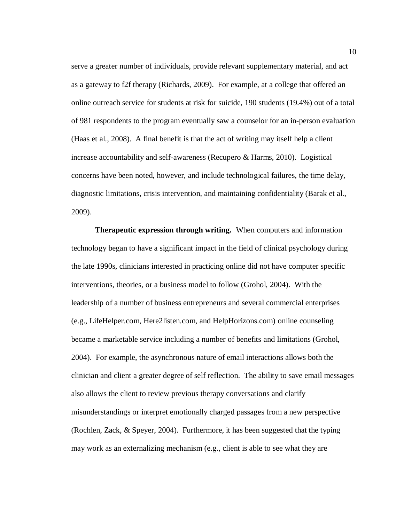serve a greater number of individuals, provide relevant supplementary material, and act as a gateway to f2f therapy (Richards, 2009). For example, at a college that offered an online outreach service for students at risk for suicide, 190 students (19.4%) out of a total of 981 respondents to the program eventually saw a counselor for an in-person evaluation (Haas et al., 2008). A final benefit is that the act of writing may itself help a client increase accountability and self-awareness (Recupero & Harms, 2010). Logistical concerns have been noted, however, and include technological failures, the time delay, diagnostic limitations, crisis intervention, and maintaining confidentiality (Barak et al., 2009).

**Therapeutic expression through writing.** When computers and information technology began to have a significant impact in the field of clinical psychology during the late 1990s, clinicians interested in practicing online did not have computer specific interventions, theories, or a business model to follow (Grohol, 2004). With the leadership of a number of business entrepreneurs and several commercial enterprises (e.g., LifeHelper.com, Here2listen.com, and HelpHorizons.com) online counseling became a marketable service including a number of benefits and limitations (Grohol, 2004). For example, the asynchronous nature of email interactions allows both the clinician and client a greater degree of self reflection. The ability to save email messages also allows the client to review previous therapy conversations and clarify misunderstandings or interpret emotionally charged passages from a new perspective (Rochlen, Zack, & Speyer, 2004). Furthermore, it has been suggested that the typing may work as an externalizing mechanism (e.g., client is able to see what they are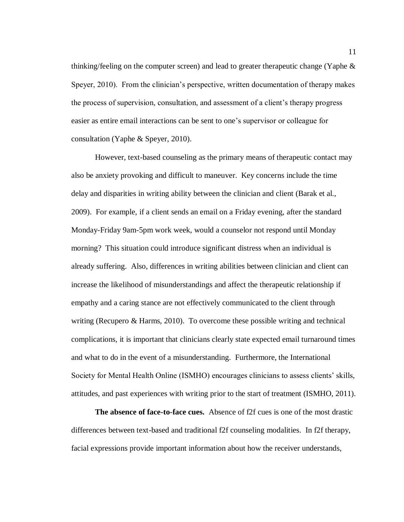thinking/feeling on the computer screen) and lead to greater therapeutic change (Yaphe & Speyer, 2010). From the clinician's perspective, written documentation of therapy makes the process of supervision, consultation, and assessment of a client's therapy progress easier as entire email interactions can be sent to one's supervisor or colleague for consultation (Yaphe & Speyer, 2010).

However, text-based counseling as the primary means of therapeutic contact may also be anxiety provoking and difficult to maneuver. Key concerns include the time delay and disparities in writing ability between the clinician and client (Barak et al., 2009). For example, if a client sends an email on a Friday evening, after the standard Monday-Friday 9am-5pm work week, would a counselor not respond until Monday morning? This situation could introduce significant distress when an individual is already suffering. Also, differences in writing abilities between clinician and client can increase the likelihood of misunderstandings and affect the therapeutic relationship if empathy and a caring stance are not effectively communicated to the client through writing (Recupero & Harms, 2010). To overcome these possible writing and technical complications, it is important that clinicians clearly state expected email turnaround times and what to do in the event of a misunderstanding. Furthermore, the International Society for Mental Health Online (ISMHO) encourages clinicians to assess clients' skills, attitudes, and past experiences with writing prior to the start of treatment (ISMHO, 2011).

**The absence of face-to-face cues.**Absence of f2f cues is one of the most drastic differences between text-based and traditional f2f counseling modalities. In f2f therapy, facial expressions provide important information about how the receiver understands,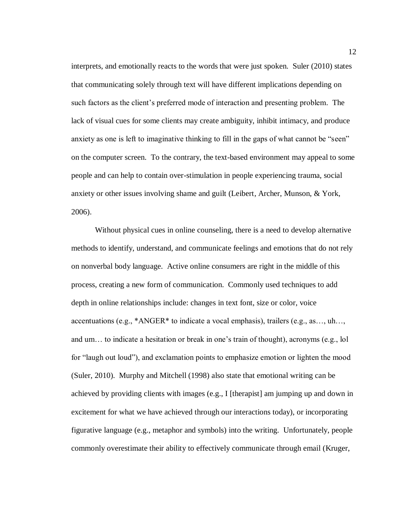interprets, and emotionally reacts to the words that were just spoken. Suler (2010) states that communicating solely through text will have different implications depending on such factors as the client's preferred mode of interaction and presenting problem. The lack of visual cues for some clients may create ambiguity, inhibit intimacy, and produce anxiety as one is left to imaginative thinking to fill in the gaps of what cannot be "seen" on the computer screen. To the contrary, the text-based environment may appeal to some people and can help to contain over-stimulation in people experiencing trauma, social anxiety or other issues involving shame and guilt (Leibert, Archer, Munson, & York, 2006).

Without physical cues in online counseling, there is a need to develop alternative methods to identify, understand, and communicate feelings and emotions that do not rely on nonverbal body language. Active online consumers are right in the middle of this process, creating a new form of communication. Commonly used techniques to add depth in online relationships include: changes in text font, size or color, voice accentuations (e.g., \*ANGER\* to indicate a vocal emphasis), trailers (e.g., as…, uh…, and um… to indicate a hesitation or break in one's train of thought), acronyms (e.g., lol for "laugh out loud"), and exclamation points to emphasize emotion or lighten the mood (Suler, 2010). Murphy and Mitchell (1998) also state that emotional writing can be achieved by providing clients with images (e.g., I [therapist] am jumping up and down in excitement for what we have achieved through our interactions today), or incorporating figurative language (e.g., metaphor and symbols) into the writing. Unfortunately, people commonly overestimate their ability to effectively communicate through email (Kruger,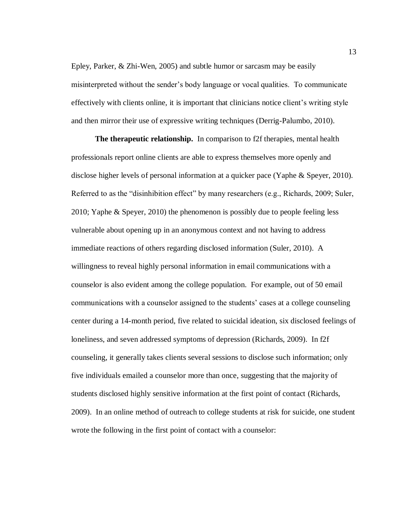Epley, Parker, & Zhi-Wen, 2005) and subtle humor or sarcasm may be easily misinterpreted without the sender's body language or vocal qualities. To communicate effectively with clients online, it is important that clinicians notice client's writing style and then mirror their use of expressive writing techniques (Derrig-Palumbo, 2010).

**The therapeutic relationship.** In comparison to f2f therapies, mental health professionals report online clients are able to express themselves more openly and disclose higher levels of personal information at a quicker pace (Yaphe & Speyer, 2010). Referred to as the "disinhibition effect" by many researchers (e.g., Richards, 2009; Suler, 2010; Yaphe & Speyer, 2010) the phenomenon is possibly due to people feeling less vulnerable about opening up in an anonymous context and not having to address immediate reactions of others regarding disclosed information (Suler, 2010). A willingness to reveal highly personal information in email communications with a counselor is also evident among the college population. For example, out of 50 email communications with a counselor assigned to the students' cases at a college counseling center during a 14-month period, five related to suicidal ideation, six disclosed feelings of loneliness, and seven addressed symptoms of depression (Richards, 2009). In f2f counseling, it generally takes clients several sessions to disclose such information; only five individuals emailed a counselor more than once, suggesting that the majority of students disclosed highly sensitive information at the first point of contact (Richards, 2009). In an online method of outreach to college students at risk for suicide, one student wrote the following in the first point of contact with a counselor: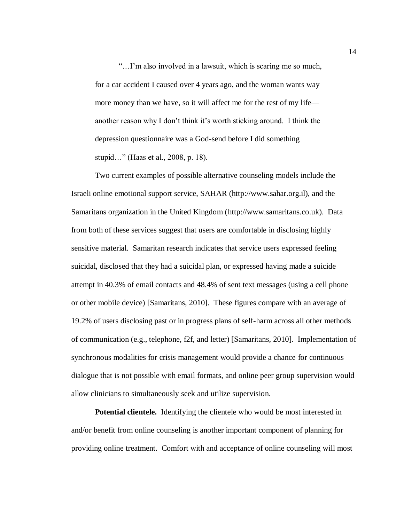"…I'm also involved in a lawsuit, which is scaring me so much, for a car accident I caused over 4 years ago, and the woman wants way more money than we have, so it will affect me for the rest of my life another reason why I don't think it's worth sticking around. I think the depression questionnaire was a God-send before I did something stupid…" (Haas et al., 2008, p. 18).

Two current examples of possible alternative counseling models include the Israeli online emotional support service, SAHAR (http://www.sahar.org.il), and the Samaritans organization in the United Kingdom [\(http://www.samaritans.co.uk\)](http://www.samaritans.co.uk/). Data from both of these services suggest that users are comfortable in disclosing highly sensitive material. Samaritan research indicates that service users expressed feeling suicidal, disclosed that they had a suicidal plan, or expressed having made a suicide attempt in 40.3% of email contacts and 48.4% of sent text messages (using a cell phone or other mobile device) [Samaritans, 2010]. These figures compare with an average of 19.2% of users disclosing past or in progress plans of self-harm across all other methods of communication (e.g., telephone, f2f, and letter) [Samaritans, 2010]. Implementation of synchronous modalities for crisis management would provide a chance for continuous dialogue that is not possible with email formats, and online peer group supervision would allow clinicians to simultaneously seek and utilize supervision.

**Potential clientele.** Identifying the clientele who would be most interested in and/or benefit from online counseling is another important component of planning for providing online treatment. Comfort with and acceptance of online counseling will most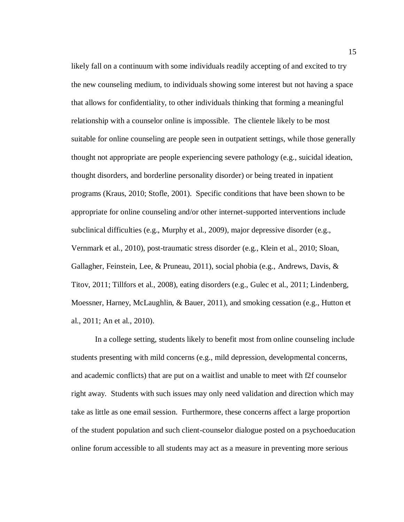likely fall on a continuum with some individuals readily accepting of and excited to try the new counseling medium, to individuals showing some interest but not having a space that allows for confidentiality, to other individuals thinking that forming a meaningful relationship with a counselor online is impossible. The clientele likely to be most suitable for online counseling are people seen in outpatient settings, while those generally thought not appropriate are people experiencing severe pathology (e.g., suicidal ideation, thought disorders, and borderline personality disorder) or being treated in inpatient programs (Kraus, 2010; Stofle, 2001). Specific conditions that have been shown to be appropriate for online counseling and/or other internet-supported interventions include subclinical difficulties (e.g., Murphy et al., 2009), major depressive disorder (e.g., Vernmark et al., 2010), post-traumatic stress disorder (e.g., Klein et al., 2010; Sloan, Gallagher, Feinstein, Lee, & Pruneau, 2011), social phobia (e.g., Andrews, Davis, & Titov, 2011; Tillfors et al., 2008), eating disorders (e.g., Gulec et al., 2011; Lindenberg, Moessner, Harney, McLaughlin, & Bauer, 2011), and smoking cessation (e.g., Hutton et al., 2011; An et al., 2010).

In a college setting, students likely to benefit most from online counseling include students presenting with mild concerns (e.g., mild depression, developmental concerns, and academic conflicts) that are put on a waitlist and unable to meet with f2f counselor right away. Students with such issues may only need validation and direction which may take as little as one email session. Furthermore, these concerns affect a large proportion of the student population and such client-counselor dialogue posted on a psychoeducation online forum accessible to all students may act as a measure in preventing more serious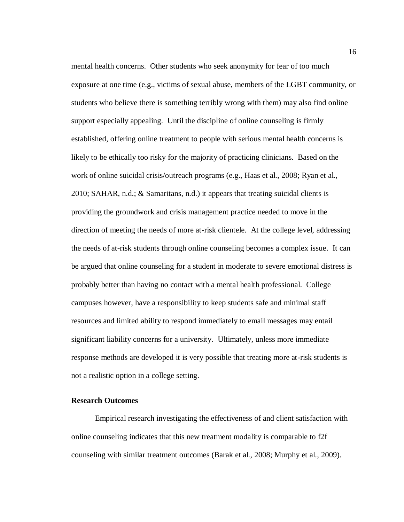mental health concerns. Other students who seek anonymity for fear of too much exposure at one time (e.g., victims of sexual abuse, members of the LGBT community, or students who believe there is something terribly wrong with them) may also find online support especially appealing. Until the discipline of online counseling is firmly established, offering online treatment to people with serious mental health concerns is likely to be ethically too risky for the majority of practicing clinicians. Based on the work of online suicidal crisis/outreach programs (e.g., Haas et al., 2008; Ryan et al., 2010; SAHAR, n.d.; & Samaritans, n.d.) it appears that treating suicidal clients is providing the groundwork and crisis management practice needed to move in the direction of meeting the needs of more at-risk clientele. At the college level, addressing the needs of at-risk students through online counseling becomes a complex issue. It can be argued that online counseling for a student in moderate to severe emotional distress is probably better than having no contact with a mental health professional. College campuses however, have a responsibility to keep students safe and minimal staff resources and limited ability to respond immediately to email messages may entail significant liability concerns for a university. Ultimately, unless more immediate response methods are developed it is very possible that treating more at-risk students is not a realistic option in a college setting.

#### <span id="page-24-0"></span>**Research Outcomes**

Empirical research investigating the effectiveness of and client satisfaction with online counseling indicates that this new treatment modality is comparable to f2f counseling with similar treatment outcomes (Barak et al., 2008; Murphy et al., 2009).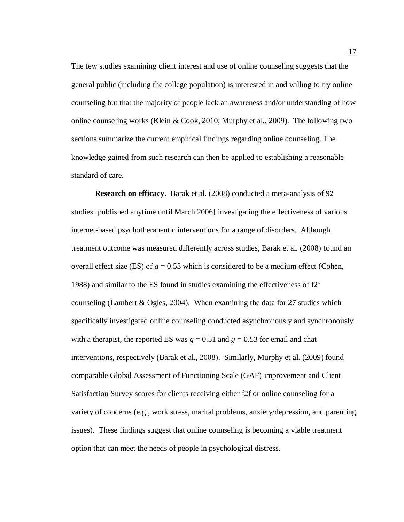The few studies examining client interest and use of online counseling suggests that the general public (including the college population) is interested in and willing to try online counseling but that the majority of people lack an awareness and/or understanding of how online counseling works (Klein  $& Cook, 2010$ ; Murphy et al., 2009). The following two sections summarize the current empirical findings regarding online counseling. The knowledge gained from such research can then be applied to establishing a reasonable standard of care.

**Research on efficacy.** Barak et al. (2008) conducted a meta-analysis of 92 studies [published anytime until March 2006] investigating the effectiveness of various internet-based psychotherapeutic interventions for a range of disorders. Although treatment outcome was measured differently across studies, Barak et al. (2008) found an overall effect size (ES) of  $g = 0.53$  which is considered to be a medium effect (Cohen, 1988) and similar to the ES found in studies examining the effectiveness of f2f counseling (Lambert & Ogles, 2004). When examining the data for 27 studies which specifically investigated online counseling conducted asynchronously and synchronously with a therapist, the reported ES was  $g = 0.51$  and  $g = 0.53$  for email and chat interventions, respectively (Barak et al., 2008). Similarly, Murphy et al. (2009) found comparable Global Assessment of Functioning Scale (GAF) improvement and Client Satisfaction Survey scores for clients receiving either f2f or online counseling for a variety of concerns (e.g., work stress, marital problems, anxiety/depression, and parenting issues). These findings suggest that online counseling is becoming a viable treatment option that can meet the needs of people in psychological distress.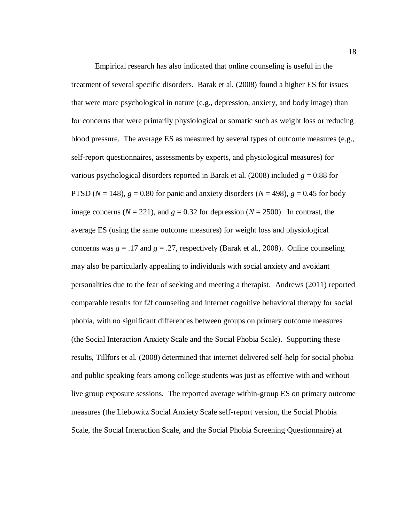Empirical research has also indicated that online counseling is useful in the treatment of several specific disorders. Barak et al. (2008) found a higher ES for issues that were more psychological in nature (e.g., depression, anxiety, and body image) than for concerns that were primarily physiological or somatic such as weight loss or reducing blood pressure. The average ES as measured by several types of outcome measures (e.g., self-report questionnaires, assessments by experts, and physiological measures) for various psychological disorders reported in Barak et al. (2008) included  $g = 0.88$  for PTSD ( $N = 148$ ),  $g = 0.80$  for panic and anxiety disorders ( $N = 498$ ),  $g = 0.45$  for body image concerns ( $N = 221$ ), and  $g = 0.32$  for depression ( $N = 2500$ ). In contrast, the average ES (using the same outcome measures) for weight loss and physiological concerns was  $g = 0.17$  and  $g = 0.27$ , respectively (Barak et al., 2008). Online counseling may also be particularly appealing to individuals with social anxiety and avoidant personalities due to the fear of seeking and meeting a therapist. Andrews (2011) reported comparable results for f2f counseling and internet cognitive behavioral therapy for social phobia, with no significant differences between groups on primary outcome measures (the Social Interaction Anxiety Scale and the Social Phobia Scale). Supporting these results, Tillfors et al. (2008) determined that internet delivered self-help for social phobia and public speaking fears among college students was just as effective with and without live group exposure sessions. The reported average within-group ES on primary outcome measures (the Liebowitz Social Anxiety Scale self-report version, the Social Phobia Scale, the Social Interaction Scale, and the Social Phobia Screening Questionnaire) at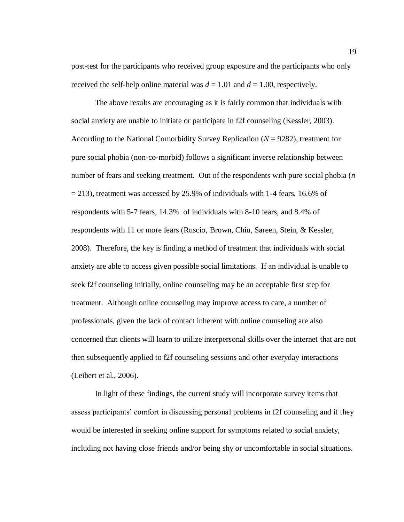post-test for the participants who received group exposure and the participants who only received the self-help online material was  $d = 1.01$  and  $d = 1.00$ , respectively.

The above results are encouraging as it is fairly common that individuals with social anxiety are unable to initiate or participate in f2f counseling (Kessler, 2003). According to the National Comorbidity Survey Replication (*N* = 9282), treatment for pure social phobia (non-co-morbid) follows a significant inverse relationship between number of fears and seeking treatment. Out of the respondents with pure social phobia (*n*  $= 213$ ), treatment was accessed by 25.9% of individuals with 1-4 fears, 16.6% of respondents with 5-7 fears, 14.3% of individuals with 8-10 fears, and 8.4% of respondents with 11 or more fears (Ruscio, Brown, Chiu, Sareen, Stein, & Kessler, 2008). Therefore, the key is finding a method of treatment that individuals with social anxiety are able to access given possible social limitations. If an individual is unable to seek f2f counseling initially, online counseling may be an acceptable first step for treatment. Although online counseling may improve access to care, a number of professionals, given the lack of contact inherent with online counseling are also concerned that clients will learn to utilize interpersonal skills over the internet that are not then subsequently applied to f2f counseling sessions and other everyday interactions (Leibert et al., 2006).

In light of these findings, the current study will incorporate survey items that assess participants' comfort in discussing personal problems in f2f counseling and if they would be interested in seeking online support for symptoms related to social anxiety, including not having close friends and/or being shy or uncomfortable in social situations.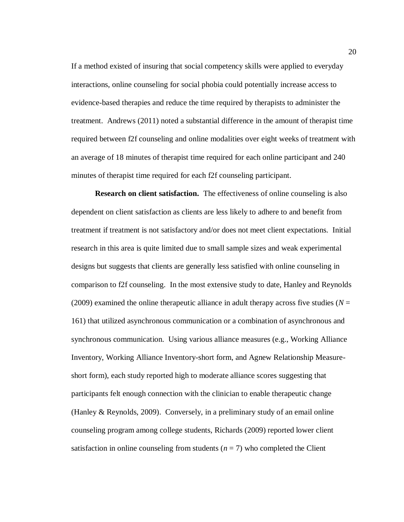If a method existed of insuring that social competency skills were applied to everyday interactions, online counseling for social phobia could potentially increase access to evidence-based therapies and reduce the time required by therapists to administer the treatment. Andrews (2011) noted a substantial difference in the amount of therapist time required between f2f counseling and online modalities over eight weeks of treatment with an average of 18 minutes of therapist time required for each online participant and 240 minutes of therapist time required for each f2f counseling participant.

**Research on client satisfaction.** The effectiveness of online counseling is also dependent on client satisfaction as clients are less likely to adhere to and benefit from treatment if treatment is not satisfactory and/or does not meet client expectations. Initial research in this area is quite limited due to small sample sizes and weak experimental designs but suggests that clients are generally less satisfied with online counseling in comparison to f2f counseling. In the most extensive study to date, Hanley and Reynolds (2009) examined the online therapeutic alliance in adult therapy across five studies ( $N =$ 161) that utilized asynchronous communication or a combination of asynchronous and synchronous communication. Using various alliance measures (e.g., Working Alliance Inventory, Working Alliance Inventory-short form, and Agnew Relationship Measureshort form), each study reported high to moderate alliance scores suggesting that participants felt enough connection with the clinician to enable therapeutic change (Hanley & Reynolds, 2009). Conversely, in a preliminary study of an email online counseling program among college students, Richards (2009) reported lower client satisfaction in online counseling from students  $(n = 7)$  who completed the Client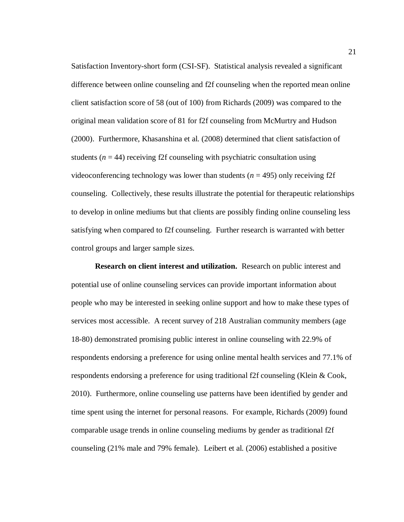Satisfaction Inventory-short form (CSI-SF). Statistical analysis revealed a significant difference between online counseling and f2f counseling when the reported mean online client satisfaction score of 58 (out of 100) from Richards (2009) was compared to the original mean validation score of 81 for f2f counseling from McMurtry and Hudson (2000). Furthermore, Khasanshina et al. (2008) determined that client satisfaction of students  $(n = 44)$  receiving f2f counseling with psychiatric consultation using videoconferencing technology was lower than students (*n* = 495) only receiving f2f counseling. Collectively, these results illustrate the potential for therapeutic relationships to develop in online mediums but that clients are possibly finding online counseling less satisfying when compared to f2f counseling. Further research is warranted with better control groups and larger sample sizes.

**Research on client interest and utilization.** Research on public interest and potential use of online counseling services can provide important information about people who may be interested in seeking online support and how to make these types of services most accessible. A recent survey of 218 Australian community members (age 18-80) demonstrated promising public interest in online counseling with 22.9% of respondents endorsing a preference for using online mental health services and 77.1% of respondents endorsing a preference for using traditional f2f counseling (Klein & Cook, 2010). Furthermore, online counseling use patterns have been identified by gender and time spent using the internet for personal reasons. For example, Richards (2009) found comparable usage trends in online counseling mediums by gender as traditional f2f counseling (21% male and 79% female). Leibert et al. (2006) established a positive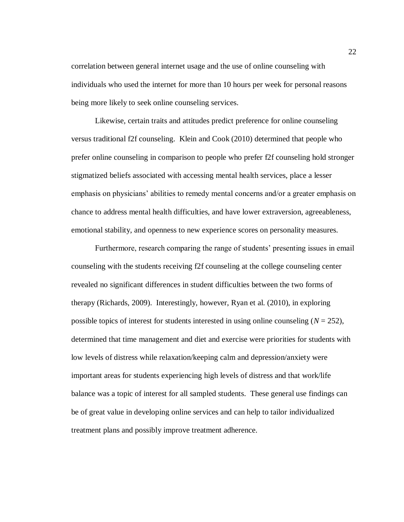correlation between general internet usage and the use of online counseling with individuals who used the internet for more than 10 hours per week for personal reasons being more likely to seek online counseling services.

Likewise, certain traits and attitudes predict preference for online counseling versus traditional f2f counseling. Klein and Cook (2010) determined that people who prefer online counseling in comparison to people who prefer f2f counseling hold stronger stigmatized beliefs associated with accessing mental health services, place a lesser emphasis on physicians' abilities to remedy mental concerns and/or a greater emphasis on chance to address mental health difficulties, and have lower extraversion, agreeableness, emotional stability, and openness to new experience scores on personality measures.

Furthermore, research comparing the range of students' presenting issues in email counseling with the students receiving f2f counseling at the college counseling center revealed no significant differences in student difficulties between the two forms of therapy (Richards, 2009). Interestingly, however, Ryan et al. (2010), in exploring possible topics of interest for students interested in using online counseling  $(N = 252)$ , determined that time management and diet and exercise were priorities for students with low levels of distress while relaxation/keeping calm and depression/anxiety were important areas for students experiencing high levels of distress and that work/life balance was a topic of interest for all sampled students. These general use findings can be of great value in developing online services and can help to tailor individualized treatment plans and possibly improve treatment adherence.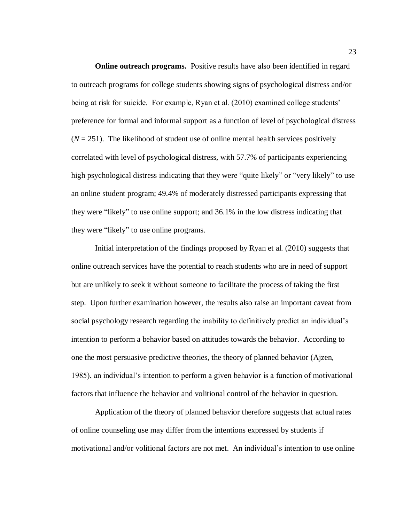**Online outreach programs.** Positive results have also been identified in regard to outreach programs for college students showing signs of psychological distress and/or being at risk for suicide. For example, Ryan et al. (2010) examined college students' preference for formal and informal support as a function of level of psychological distress  $(N = 251)$ . The likelihood of student use of online mental health services positively correlated with level of psychological distress, with 57.7% of participants experiencing high psychological distress indicating that they were "quite likely" or "very likely" to use an online student program; 49.4% of moderately distressed participants expressing that they were "likely" to use online support; and 36.1% in the low distress indicating that they were "likely" to use online programs.

Initial interpretation of the findings proposed by Ryan et al. (2010) suggests that online outreach services have the potential to reach students who are in need of support but are unlikely to seek it without someone to facilitate the process of taking the first step. Upon further examination however, the results also raise an important caveat from social psychology research regarding the inability to definitively predict an individual's intention to perform a behavior based on attitudes towards the behavior. According to one the most persuasive predictive theories, the theory of planned behavior (Ajzen, 1985), an individual's intention to perform a given behavior is a function of motivational factors that influence the behavior and volitional control of the behavior in question.

Application of the theory of planned behavior therefore suggests that actual rates of online counseling use may differ from the intentions expressed by students if motivational and/or volitional factors are not met. An individual's intention to use online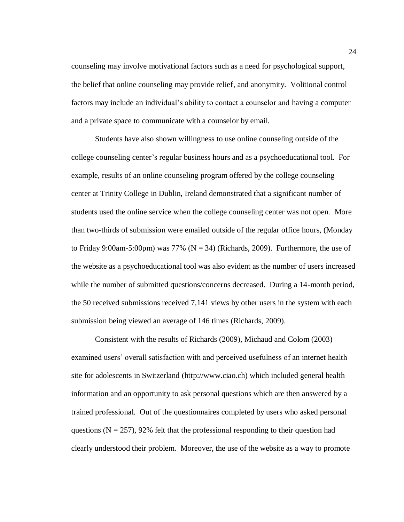counseling may involve motivational factors such as a need for psychological support, the belief that online counseling may provide relief, and anonymity. Volitional control factors may include an individual's ability to contact a counselor and having a computer and a private space to communicate with a counselor by email.

Students have also shown willingness to use online counseling outside of the college counseling center's regular business hours and as a psychoeducational tool. For example, results of an online counseling program offered by the college counseling center at Trinity College in Dublin, Ireland demonstrated that a significant number of students used the online service when the college counseling center was not open. More than two-thirds of submission were emailed outside of the regular office hours, (Monday to Friday 9:00am-5:00pm) was 77% ( $N = 34$ ) (Richards, 2009). Furthermore, the use of the website as a psychoeducational tool was also evident as the number of users increased while the number of submitted questions/concerns decreased. During a 14-month period, the 50 received submissions received 7,141 views by other users in the system with each submission being viewed an average of 146 times (Richards, 2009).

Consistent with the results of Richards (2009), Michaud and Colom (2003) examined users' overall satisfaction with and perceived usefulness of an internet health site for adolescents in Switzerland [\(http://www.ciao.ch\)](http://www.ciao.ch/) which included general health information and an opportunity to ask personal questions which are then answered by a trained professional. Out of the questionnaires completed by users who asked personal questions ( $N = 257$ ), 92% felt that the professional responding to their question had clearly understood their problem. Moreover, the use of the website as a way to promote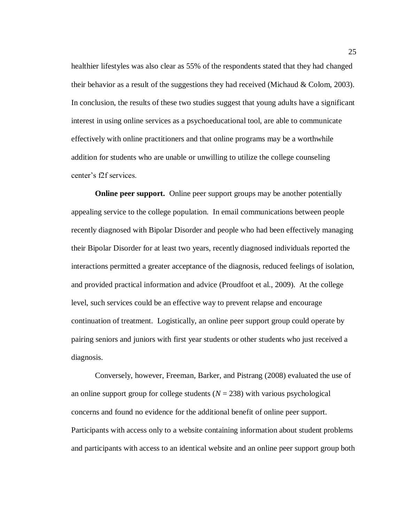healthier lifestyles was also clear as 55% of the respondents stated that they had changed their behavior as a result of the suggestions they had received (Michaud  $&$  Colom, 2003). In conclusion, the results of these two studies suggest that young adults have a significant interest in using online services as a psychoeducational tool, are able to communicate effectively with online practitioners and that online programs may be a worthwhile addition for students who are unable or unwilling to utilize the college counseling center's f2f services.

**Online peer support.** Online peer support groups may be another potentially appealing service to the college population. In email communications between people recently diagnosed with Bipolar Disorder and people who had been effectively managing their Bipolar Disorder for at least two years, recently diagnosed individuals reported the interactions permitted a greater acceptance of the diagnosis, reduced feelings of isolation, and provided practical information and advice (Proudfoot et al., 2009). At the college level, such services could be an effective way to prevent relapse and encourage continuation of treatment. Logistically, an online peer support group could operate by pairing seniors and juniors with first year students or other students who just received a diagnosis.

Conversely, however, Freeman, Barker, and Pistrang (2008) evaluated the use of an online support group for college students  $(N = 238)$  with various psychological concerns and found no evidence for the additional benefit of online peer support. Participants with access only to a website containing information about student problems and participants with access to an identical website and an online peer support group both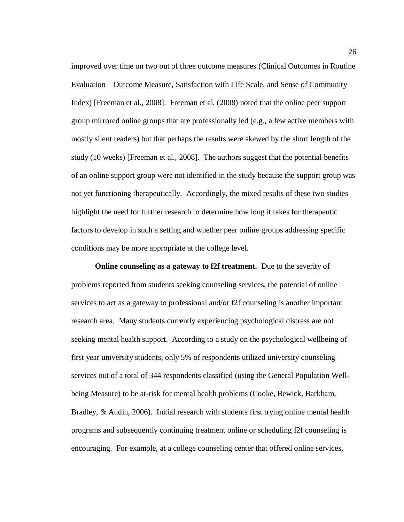improved over time on two out of three outcome measures (Clinical Outcomes in Routine Evaluation—Outcome Measure, Satisfaction with Life Scale, and Sense of Community Index) [Freeman et al., 2008]. Freeman et al. (2008) noted that the online peer support group mirrored online groups that are professionally led (e.g., a few active members with mostly silent readers) but that perhaps the results were skewed by the short length of the study (10 weeks) [Freeman et al., 2008]. The authors suggest that the potential benefits of an online support group were not identified in the study because the support group was not yet functioning therapeutically. Accordingly, the mixed results of these two studies highlight the need for further research to determine how long it takes for therapeutic factors to develop in such a setting and whether peer online groups addressing specific conditions may be more appropriate at the college level.

**Online counseling as a gateway to f2f treatment.** Due to the severity of problems reported from students seeking counseling services, the potential of online services to act as a gateway to professional and/or f2f counseling is another important research area. Many students currently experiencing psychological distress are not seeking mental health support. According to a study on the psychological wellbeing of first year university students, only 5% of respondents utilized university counseling services out of a total of 344 respondents classified (using the General Population Wellbeing Measure) to be at-risk for mental health problems (Cooke, Bewick, Barkham, Bradley, & Audin, 2006). Initial research with students first trying online mental health programs and subsequently continuing treatment online or scheduling f2f counseling is encouraging. For example, at a college counseling center that offered online services,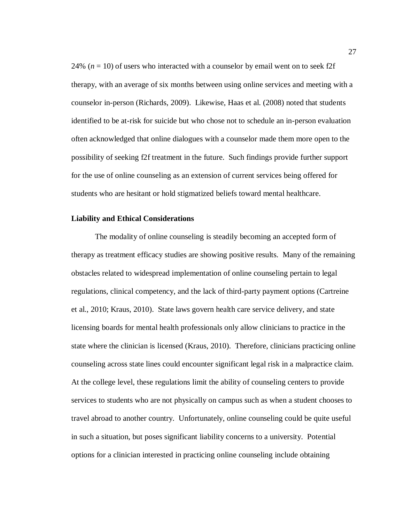24% ( $n = 10$ ) of users who interacted with a counselor by email went on to seek f2f therapy, with an average of six months between using online services and meeting with a counselor in-person (Richards, 2009). Likewise, Haas et al. (2008) noted that students identified to be at-risk for suicide but who chose not to schedule an in-person evaluation often acknowledged that online dialogues with a counselor made them more open to the possibility of seeking f2f treatment in the future. Such findings provide further support for the use of online counseling as an extension of current services being offered for students who are hesitant or hold stigmatized beliefs toward mental healthcare.

#### <span id="page-35-0"></span>**Liability and Ethical Considerations**

The modality of online counseling is steadily becoming an accepted form of therapy as treatment efficacy studies are showing positive results. Many of the remaining obstacles related to widespread implementation of online counseling pertain to legal regulations, clinical competency, and the lack of third-party payment options (Cartreine et al., 2010; Kraus, 2010). State laws govern health care service delivery, and state licensing boards for mental health professionals only allow clinicians to practice in the state where the clinician is licensed (Kraus, 2010). Therefore, clinicians practicing online counseling across state lines could encounter significant legal risk in a malpractice claim. At the college level, these regulations limit the ability of counseling centers to provide services to students who are not physically on campus such as when a student chooses to travel abroad to another country. Unfortunately, online counseling could be quite useful in such a situation, but poses significant liability concerns to a university. Potential options for a clinician interested in practicing online counseling include obtaining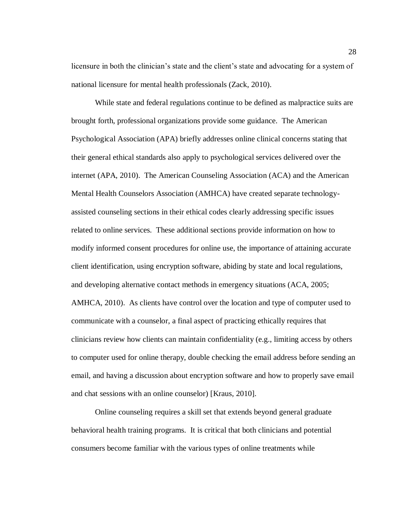licensure in both the clinician's state and the client's state and advocating for a system of national licensure for mental health professionals (Zack, 2010).

While state and federal regulations continue to be defined as malpractice suits are brought forth, professional organizations provide some guidance. The American Psychological Association (APA) briefly addresses online clinical concerns stating that their general ethical standards also apply to psychological services delivered over the internet (APA, 2010). The American Counseling Association (ACA) and the American Mental Health Counselors Association (AMHCA) have created separate technologyassisted counseling sections in their ethical codes clearly addressing specific issues related to online services. These additional sections provide information on how to modify informed consent procedures for online use, the importance of attaining accurate client identification, using encryption software, abiding by state and local regulations, and developing alternative contact methods in emergency situations (ACA, 2005; AMHCA, 2010). As clients have control over the location and type of computer used to communicate with a counselor, a final aspect of practicing ethically requires that clinicians review how clients can maintain confidentiality (e.g., limiting access by others to computer used for online therapy, double checking the email address before sending an email, and having a discussion about encryption software and how to properly save email and chat sessions with an online counselor) [Kraus, 2010].

Online counseling requires a skill set that extends beyond general graduate behavioral health training programs. It is critical that both clinicians and potential consumers become familiar with the various types of online treatments while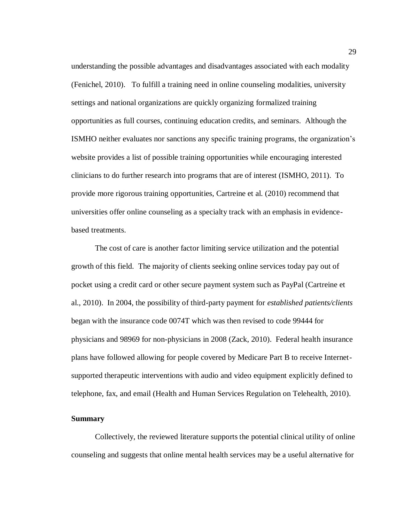understanding the possible advantages and disadvantages associated with each modality (Fenichel, 2010). To fulfill a training need in online counseling modalities, university settings and national organizations are quickly organizing formalized training opportunities as full courses, continuing education credits, and seminars. Although the ISMHO neither evaluates nor sanctions any specific training programs, the organization's website provides a list of possible training opportunities while encouraging interested clinicians to do further research into programs that are of interest (ISMHO, 2011). To provide more rigorous training opportunities, Cartreine et al. (2010) recommend that universities offer online counseling as a specialty track with an emphasis in evidencebased treatments.

The cost of care is another factor limiting service utilization and the potential growth of this field. The majority of clients seeking online services today pay out of pocket using a credit card or other secure payment system such as PayPal (Cartreine et al., 2010). In 2004, the possibility of third-party payment for *established patients/clients* began with the insurance code 0074T which was then revised to code 99444 for physicians and 98969 for non-physicians in 2008 (Zack, 2010). Federal health insurance plans have followed allowing for people covered by Medicare Part B to receive Internetsupported therapeutic interventions with audio and video equipment explicitly defined to telephone, fax, and email (Health and Human Services Regulation on Telehealth, 2010).

#### **Summary**

Collectively, the reviewed literature supports the potential clinical utility of online counseling and suggests that online mental health services may be a useful alternative for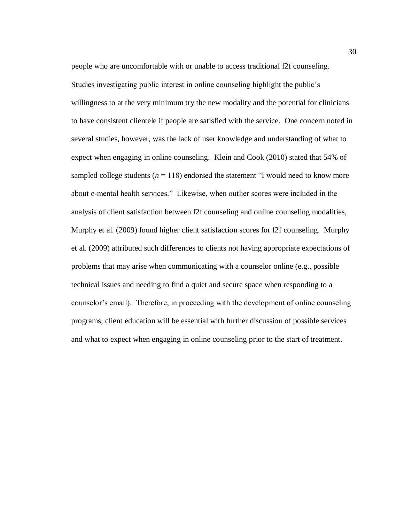people who are uncomfortable with or unable to access traditional f2f counseling. Studies investigating public interest in online counseling highlight the public's willingness to at the very minimum try the new modality and the potential for clinicians to have consistent clientele if people are satisfied with the service. One concern noted in several studies, however, was the lack of user knowledge and understanding of what to expect when engaging in online counseling. Klein and Cook (2010) stated that 54% of sampled college students ( $n = 118$ ) endorsed the statement "I would need to know more about e-mental health services." Likewise, when outlier scores were included in the analysis of client satisfaction between f2f counseling and online counseling modalities, Murphy et al. (2009) found higher client satisfaction scores for f2f counseling. Murphy et al. (2009) attributed such differences to clients not having appropriate expectations of problems that may arise when communicating with a counselor online (e.g., possible technical issues and needing to find a quiet and secure space when responding to a counselor's email). Therefore, in proceeding with the development of online counseling programs, client education will be essential with further discussion of possible services and what to expect when engaging in online counseling prior to the start of treatment.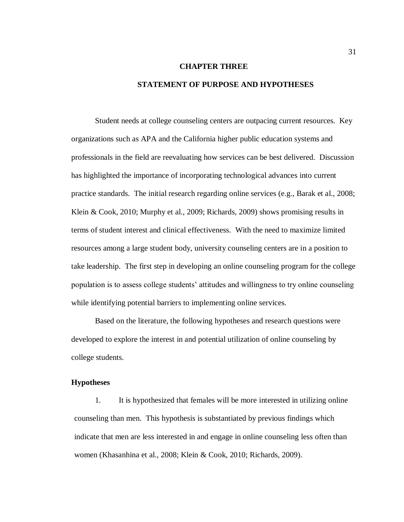# **CHAPTER THREE STATEMENT OF PURPOSE AND HYPOTHESES**

Student needs at college counseling centers are outpacing current resources. Key organizations such as APA and the California higher public education systems and professionals in the field are reevaluating how services can be best delivered. Discussion has highlighted the importance of incorporating technological advances into current practice standards. The initial research regarding online services (e.g., Barak et al., 2008; Klein & Cook, 2010; Murphy et al., 2009; Richards, 2009) shows promising results in terms of student interest and clinical effectiveness. With the need to maximize limited resources among a large student body, university counseling centers are in a position to take leadership. The first step in developing an online counseling program for the college population is to assess college students' attitudes and willingness to try online counseling while identifying potential barriers to implementing online services.

Based on the literature, the following hypotheses and research questions were developed to explore the interest in and potential utilization of online counseling by college students.

#### **Hypotheses**

1. It is hypothesized that females will be more interested in utilizing online counseling than men. This hypothesis is substantiated by previous findings which indicate that men are less interested in and engage in online counseling less often than women (Khasanhina et al., 2008; Klein & Cook, 2010; Richards, 2009).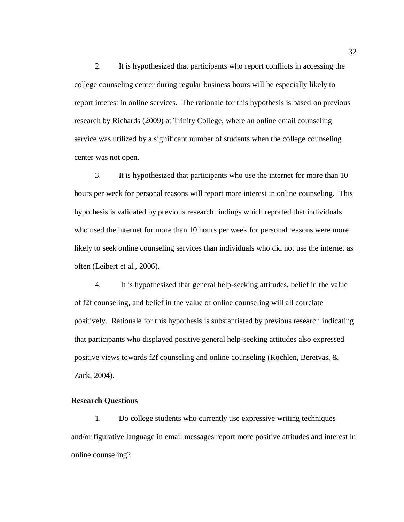2. It is hypothesized that participants who report conflicts in accessing the college counseling center during regular business hours will be especially likely to report interest in online services. The rationale for this hypothesis is based on previous research by Richards (2009) at Trinity College, where an online email counseling service was utilized by a significant number of students when the college counseling center was not open.

3. It is hypothesized that participants who use the internet for more than 10 hours per week for personal reasons will report more interest in online counseling. This hypothesis is validated by previous research findings which reported that individuals who used the internet for more than 10 hours per week for personal reasons were more likely to seek online counseling services than individuals who did not use the internet as often (Leibert et al., 2006).

4. It is hypothesized that general help-seeking attitudes, belief in the value of f2f counseling, and belief in the value of online counseling will all correlate positively. Rationale for this hypothesis is substantiated by previous research indicating that participants who displayed positive general help-seeking attitudes also expressed positive views towards f2f counseling and online counseling (Rochlen, Beretvas, & Zack, 2004).

### **Research Questions**

1. Do college students who currently use expressive writing techniques and/or figurative language in email messages report more positive attitudes and interest in online counseling?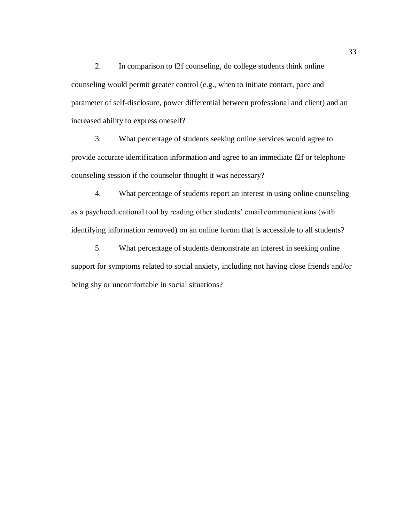2. In comparison to f2f counseling, do college students think online counseling would permit greater control (e.g., when to initiate contact, pace and parameter of self-disclosure, power differential between professional and client) and an increased ability to express oneself?

3. What percentage of students seeking online services would agree to provide accurate identification information and agree to an immediate f2f or telephone counseling session if the counselor thought it was necessary?

4. What percentage of students report an interest in using online counseling as a psychoeducational tool by reading other students' email communications (with identifying information removed) on an online forum that is accessible to all students?

5. What percentage of students demonstrate an interest in seeking online support for symptoms related to social anxiety, including not having close friends and/or being shy or uncomfortable in social situations?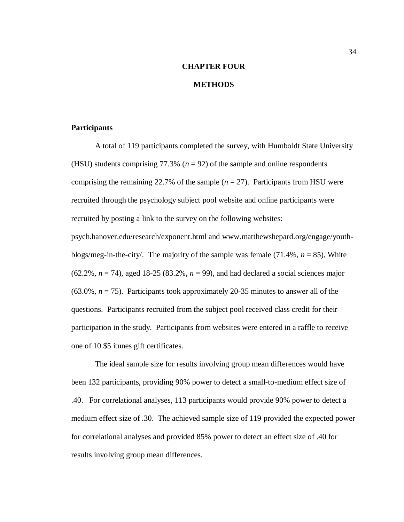# **CHAPTER FOUR**

## **METHODS**

## **Participants**

A total of 119 participants completed the survey, with Humboldt State University (HSU) students comprising 77.3% ( $n = 92$ ) of the sample and online respondents comprising the remaining 22.7% of the sample  $(n = 27)$ . Participants from HSU were recruited through the psychology subject pool website and online participants were recruited by posting a link to the survey on the following websites:

psych.hanover.edu/research/exponent.html and [www.matthewshepard.org/engage/youth](http://www.matthewshepard.org/engage/youth-blogs/meg-in-the-city/)[blogs/meg-in-the-city/.](http://www.matthewshepard.org/engage/youth-blogs/meg-in-the-city/) The majority of the sample was female  $(71.4\%, n = 85)$ , White (62.2%, *n* = 74), aged 18-25 (83.2%, *n* = 99), and had declared a social sciences major  $(63.0\%, n = 75)$ . Participants took approximately 20-35 minutes to answer all of the questions. Participants recruited from the subject pool received class credit for their participation in the study. Participants from websites were entered in a raffle to receive one of 10 \$5 itunes gift certificates.

The ideal sample size for results involving group mean differences would have been 132 participants, providing 90% power to detect a small-to-medium effect size of .40. For correlational analyses, 113 participants would provide 90% power to detect a medium effect size of .30. The achieved sample size of 119 provided the expected power for correlational analyses and provided 85% power to detect an effect size of .40 for results involving group mean differences.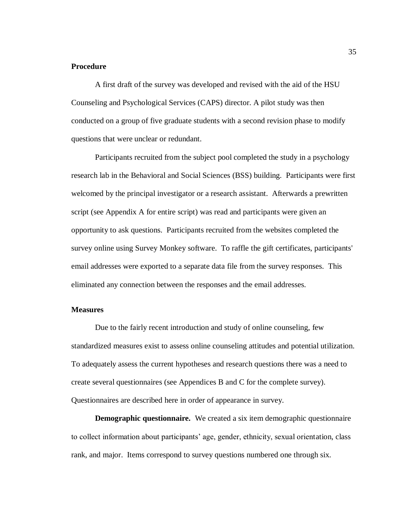## **Procedure**

A first draft of the survey was developed and revised with the aid of the HSU Counseling and Psychological Services (CAPS) director. A pilot study was then conducted on a group of five graduate students with a second revision phase to modify questions that were unclear or redundant.

Participants recruited from the subject pool completed the study in a psychology research lab in the Behavioral and Social Sciences (BSS) building. Participants were first welcomed by the principal investigator or a research assistant. Afterwards a prewritten script (see Appendix A for entire script) was read and participants were given an opportunity to ask questions. Participants recruited from the websites completed the survey online using Survey Monkey software. To raffle the gift certificates, participants' email addresses were exported to a separate data file from the survey responses. This eliminated any connection between the responses and the email addresses.

#### **Measures**

Due to the fairly recent introduction and study of online counseling, few standardized measures exist to assess online counseling attitudes and potential utilization. To adequately assess the current hypotheses and research questions there was a need to create several questionnaires (see Appendices B and C for the complete survey). Questionnaires are described here in order of appearance in survey.

**Demographic questionnaire.** We created a six item demographic questionnaire to collect information about participants' age, gender, ethnicity, sexual orientation, class rank, and major. Items correspond to survey questions numbered one through six.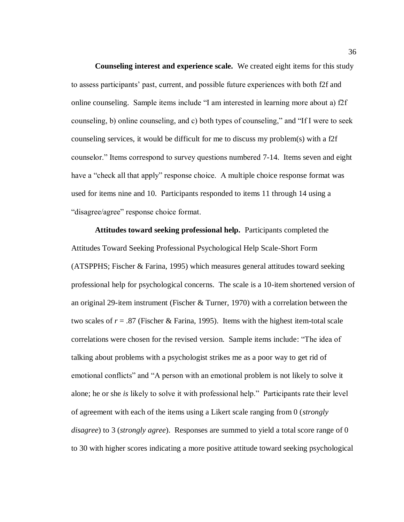**Counseling interest and experience scale.** We created eight items for this study to assess participants' past, current, and possible future experiences with both f2f and online counseling. Sample items include "I am interested in learning more about a) f2f counseling, b) online counseling, and c) both types of counseling," and "If I were to seek counseling services, it would be difficult for me to discuss my problem(s) with a f2f counselor." Items correspond to survey questions numbered 7-14. Items seven and eight have a "check all that apply" response choice. A multiple choice response format was used for items nine and 10. Participants responded to items 11 through 14 using a "disagree/agree" response choice format.

**Attitudes toward seeking professional help.** Participants completed the Attitudes Toward Seeking Professional Psychological Help Scale-Short Form (ATSPPHS; Fischer & Farina, 1995) which measures general attitudes toward seeking professional help for psychological concerns. The scale is a 10-item shortened version of an original 29-item instrument (Fischer & Turner, 1970) with a correlation between the two scales of  $r = .87$  (Fischer & Farina, 1995). Items with the highest item-total scale correlations were chosen for the revised version. Sample items include: "The idea of talking about problems with a psychologist strikes me as a poor way to get rid of emotional conflicts" and "A person with an emotional problem is not likely to solve it alone; he or she *is* likely to solve it with professional help." Participants rate their level of agreement with each of the items using a Likert scale ranging from 0 (*strongly disagree*) to 3 (*strongly agree*). Responses are summed to yield a total score range of 0 to 30 with higher scores indicating a more positive attitude toward seeking psychological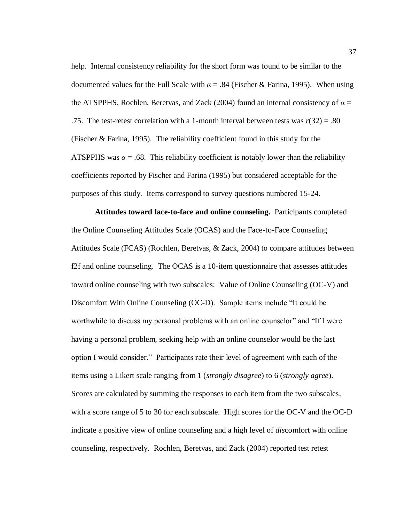help. Internal consistency reliability for the short form was found to be similar to the documented values for the Full Scale with  $\alpha = 0.84$  (Fischer & Farina, 1995). When using the ATSPPHS, Rochlen, Beretvas, and Zack (2004) found an internal consistency of  $\alpha =$ .75. The test-retest correlation with a 1-month interval between tests was  $r(32) = .80$ (Fischer & Farina, 1995). The reliability coefficient found in this study for the ATSPPHS was  $\alpha = .68$ . This reliability coefficient is notably lower than the reliability coefficients reported by Fischer and Farina (1995) but considered acceptable for the purposes of this study. Items correspond to survey questions numbered 15-24.

**Attitudes toward face-to-face and online counseling.** Participants completed the Online Counseling Attitudes Scale (OCAS) and the Face-to-Face Counseling Attitudes Scale (FCAS) (Rochlen, Beretvas, & Zack, 2004) to compare attitudes between f2f and online counseling. The OCAS is a 10-item questionnaire that assesses attitudes toward online counseling with two subscales: Value of Online Counseling (OC-V) and Discomfort With Online Counseling (OC-D). Sample items include "It could be worthwhile to discuss my personal problems with an online counselor" and "If I were having a personal problem, seeking help with an online counselor would be the last option I would consider." Participants rate their level of agreement with each of the items using a Likert scale ranging from 1 (*strongly disagree*) to 6 (*strongly agree*). Scores are calculated by summing the responses to each item from the two subscales, with a score range of 5 to 30 for each subscale. High scores for the OC-V and the OC-D indicate a positive view of online counseling and a high level of *dis*comfort with online counseling, respectively. Rochlen, Beretvas, and Zack (2004) reported test retest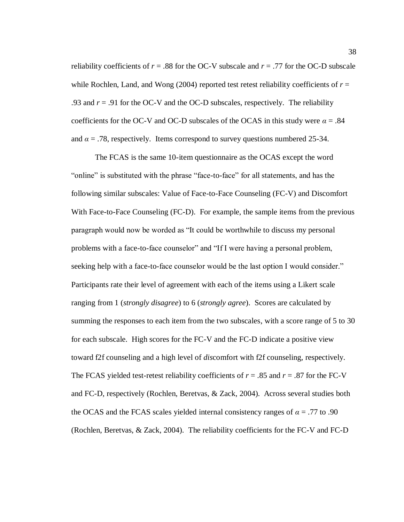reliability coefficients of  $r = .88$  for the OC-V subscale and  $r = .77$  for the OC-D subscale while Rochlen, Land, and Wong  $(2004)$  reported test retest reliability coefficients of  $r =$ .93 and  $r = .91$  for the OC-V and the OC-D subscales, respectively. The reliability coefficients for the OC-V and OC-D subscales of the OCAS in this study were  $\alpha = .84$ and  $\alpha = 0.78$ , respectively. Items correspond to survey questions numbered 25-34.

The FCAS is the same 10-item questionnaire as the OCAS except the word "online" is substituted with the phrase "face-to-face" for all statements, and has the following similar subscales: Value of Face-to-Face Counseling (FC-V) and Discomfort With Face-to-Face Counseling (FC-D). For example, the sample items from the previous paragraph would now be worded as "It could be worthwhile to discuss my personal problems with a face-to-face counselor" and "If I were having a personal problem, seeking help with a face-to-face counselor would be the last option I would consider." Participants rate their level of agreement with each of the items using a Likert scale ranging from 1 (*strongly disagree*) to 6 (*strongly agree*). Scores are calculated by summing the responses to each item from the two subscales, with a score range of 5 to 30 for each subscale. High scores for the FC-V and the FC-D indicate a positive view toward f2f counseling and a high level of *dis*comfort with f2f counseling, respectively. The FCAS yielded test-retest reliability coefficients of  $r = .85$  and  $r = .87$  for the FC-V and FC-D, respectively (Rochlen, Beretvas, & Zack, 2004). Across several studies both the OCAS and the FCAS scales yielded internal consistency ranges of  $\alpha = .77$  to .90 (Rochlen, Beretvas, & Zack, 2004). The reliability coefficients for the FC-V and FC-D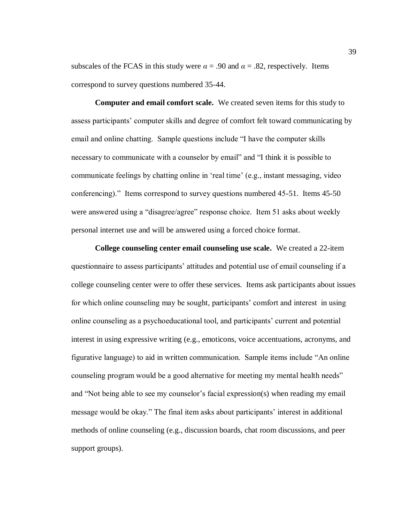subscales of the FCAS in this study were  $\alpha = .90$  and  $\alpha = .82$ , respectively. Items correspond to survey questions numbered 35-44.

**Computer and email comfort scale.** We created seven items for this study to assess participants' computer skills and degree of comfort felt toward communicating by email and online chatting. Sample questions include "I have the computer skills necessary to communicate with a counselor by email" and "I think it is possible to communicate feelings by chatting online in 'real time' (e.g., instant messaging, video conferencing)." Items correspond to survey questions numbered 45-51. Items 45-50 were answered using a "disagree/agree" response choice. Item 51 asks about weekly personal internet use and will be answered using a forced choice format.

**College counseling center email counseling use scale.** We created a 22-item questionnaire to assess participants' attitudes and potential use of email counseling if a college counseling center were to offer these services. Items ask participants about issues for which online counseling may be sought, participants' comfort and interest in using online counseling as a psychoeducational tool, and participants' current and potential interest in using expressive writing (e.g., emoticons, voice accentuations, acronyms, and figurative language) to aid in written communication. Sample items include "An online counseling program would be a good alternative for meeting my mental health needs" and "Not being able to see my counselor's facial expression(s) when reading my email message would be okay." The final item asks about participants' interest in additional methods of online counseling (e.g., discussion boards, chat room discussions, and peer support groups).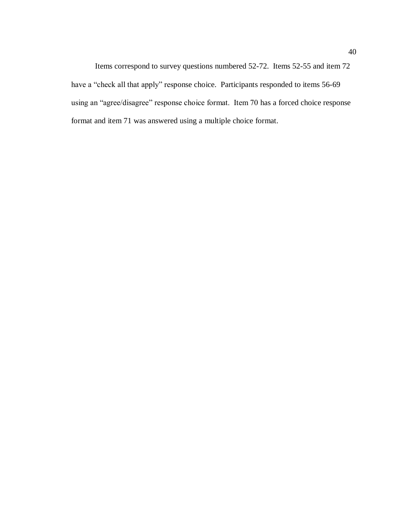Items correspond to survey questions numbered 52-72. Items 52-55 and item 72 have a "check all that apply" response choice. Participants responded to items 56-69 using an "agree/disagree" response choice format. Item 70 has a forced choice response format and item 71 was answered using a multiple choice format.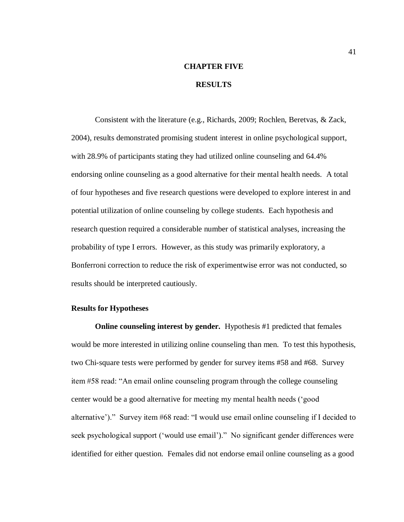# **CHAPTER FIVE RESULTS**

Consistent with the literature (e.g., Richards, 2009; Rochlen, Beretvas, & Zack, 2004), results demonstrated promising student interest in online psychological support, with 28.9% of participants stating they had utilized online counseling and 64.4% endorsing online counseling as a good alternative for their mental health needs. A total of four hypotheses and five research questions were developed to explore interest in and potential utilization of online counseling by college students. Each hypothesis and research question required a considerable number of statistical analyses, increasing the probability of type I errors. However, as this study was primarily exploratory, a Bonferroni correction to reduce the risk of experimentwise error was not conducted, so results should be interpreted cautiously.

#### **Results for Hypotheses**

**Online counseling interest by gender.** Hypothesis #1 predicted that females would be more interested in utilizing online counseling than men. To test this hypothesis, two Chi-square tests were performed by gender for survey items #58 and #68. Survey item #58 read: "An email online counseling program through the college counseling center would be a good alternative for meeting my mental health needs ('good alternative')." Survey item #68 read: "I would use email online counseling if I decided to seek psychological support ('would use email')." No significant gender differences were identified for either question. Females did not endorse email online counseling as a good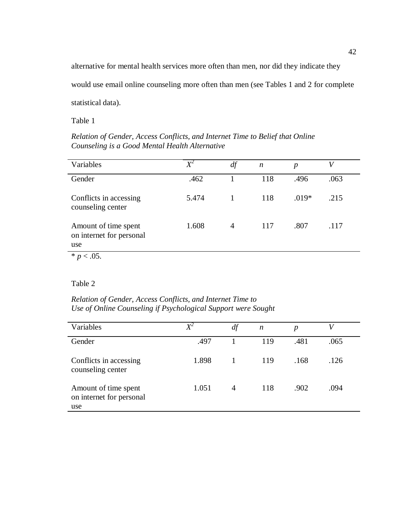alternative for mental health services more often than men, nor did they indicate they would use email online counseling more often than men (see Tables 1 and 2 for complete statistical data).

Table 1

*Relation of Gender, Access Conflicts, and Internet Time to Belief that Online Counseling is a Good Mental Health Alternative*

| Variables                                               | $X^2$ | df           | $\boldsymbol{n}$ | $\boldsymbol{p}$ |      |
|---------------------------------------------------------|-------|--------------|------------------|------------------|------|
| Gender                                                  | .462  |              | 118              | .496             | .063 |
| Conflicts in accessing<br>counseling center             | 5.474 | $\mathbf{1}$ | 118              | $.019*$          | .215 |
| Amount of time spent<br>on internet for personal<br>use | 1.608 | 4            | 117              | .807             | .117 |
| $\ast p$<br>.05.                                        |       |              |                  |                  |      |

# Table 2

*Relation of Gender, Access Conflicts, and Internet Time to Use of Online Counseling if Psychological Support were Sought*

| Variables                                               | $X^2$ | df | n   | $\boldsymbol{p}$ | V    |
|---------------------------------------------------------|-------|----|-----|------------------|------|
| Gender                                                  | .497  |    | 119 | .481             | .065 |
| Conflicts in accessing<br>counseling center             | 1.898 |    | 119 | .168             | .126 |
| Amount of time spent<br>on internet for personal<br>use | 1.051 | 4  | 118 | .902             | .094 |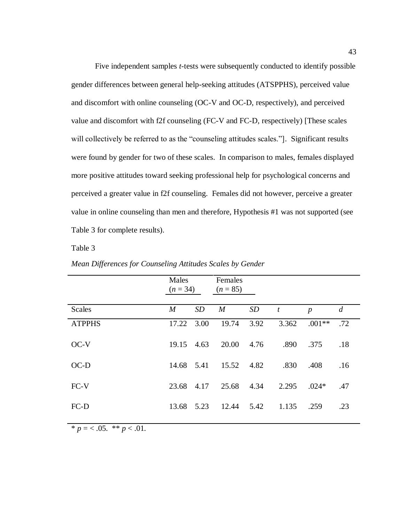Five independent samples *t*-tests were subsequently conducted to identify possible gender differences between general help-seeking attitudes (ATSPPHS), perceived value and discomfort with online counseling (OC-V and OC-D, respectively), and perceived value and discomfort with f2f counseling (FC-V and FC-D, respectively) [These scales will collectively be referred to as the "counseling attitudes scales."]. Significant results were found by gender for two of these scales. In comparison to males, females displayed more positive attitudes toward seeking professional help for psychological concerns and perceived a greater value in f2f counseling. Females did not however, perceive a greater value in online counseling than men and therefore, Hypothesis #1 was not supported (see Table 3 for complete results).

Table 3

|               | Males<br>$(n = 34)$ |           | Females<br>$(n = 85)$ |      |                  |                  |                |
|---------------|---------------------|-----------|-----------------------|------|------------------|------------------|----------------|
| <b>Scales</b> | $\boldsymbol{M}$    | <i>SD</i> | $\boldsymbol{M}$      | SD   | $\boldsymbol{t}$ | $\boldsymbol{p}$ | $\overline{d}$ |
| <b>ATPPHS</b> | 17.22               | 3.00      | 19.74                 | 3.92 | 3.362            | $.001**$         | .72            |
| $OC-V$        | 19.15               | 4.63      | 20.00                 | 4.76 | .890             | .375             | .18            |
| $OC-D$        | 14.68               | 5.41      | 15.52                 | 4.82 | .830             | .408             | .16            |
| FC-V          | 23.68               | 4.17      | 25.68                 | 4.34 | 2.295            | $.024*$          | .47            |
| $FC-D$        | 13.68               | 5.23      | 12.44                 | 5.42 | 1.135            | .259             | .23            |

*Mean Differences for Counseling Attitudes Scales by Gender*

 $* p = 0.05$ . \*\*  $p < 0.01$ .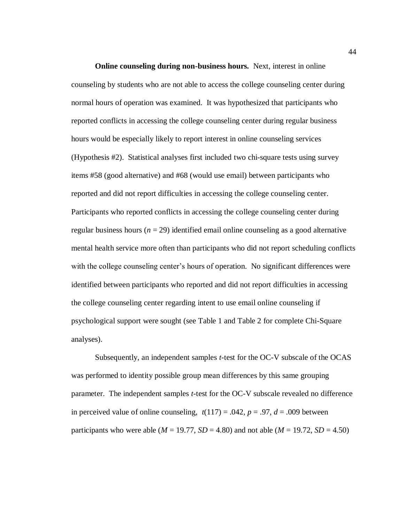**Online counseling during non-business hours.** Next, interest in online counseling by students who are not able to access the college counseling center during normal hours of operation was examined. It was hypothesized that participants who reported conflicts in accessing the college counseling center during regular business hours would be especially likely to report interest in online counseling services (Hypothesis #2). Statistical analyses first included two chi-square tests using survey items #58 (good alternative) and #68 (would use email) between participants who reported and did not report difficulties in accessing the college counseling center. Participants who reported conflicts in accessing the college counseling center during regular business hours ( $n = 29$ ) identified email online counseling as a good alternative mental health service more often than participants who did not report scheduling conflicts with the college counseling center's hours of operation. No significant differences were identified between participants who reported and did not report difficulties in accessing the college counseling center regarding intent to use email online counseling if psychological support were sought (see Table 1 and Table 2 for complete Chi-Square analyses).

Subsequently, an independent samples *t*-test for the OC-V subscale of the OCAS was performed to identity possible group mean differences by this same grouping parameter. The independent samples *t*-test for the OC-V subscale revealed no difference in perceived value of online counseling,  $t(117) = .042$ ,  $p = .97$ ,  $d = .009$  between participants who were able ( $M = 19.77$ ,  $SD = 4.80$ ) and not able ( $M = 19.72$ ,  $SD = 4.50$ )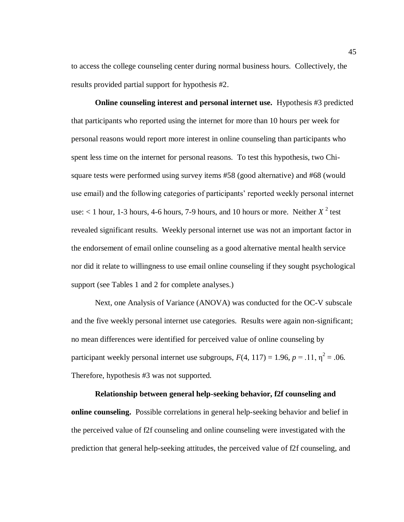to access the college counseling center during normal business hours. Collectively, the results provided partial support for hypothesis #2.

**Online counseling interest and personal internet use.** Hypothesis #3 predicted that participants who reported using the internet for more than 10 hours per week for personal reasons would report more interest in online counseling than participants who spent less time on the internet for personal reasons. To test this hypothesis, two Chisquare tests were performed using survey items #58 (good alternative) and #68 (would use email) and the following categories of participants' reported weekly personal internet use:  $<$  1 hour, 1-3 hours, 4-6 hours, 7-9 hours, and 10 hours or more. Neither  $X^2$  test revealed significant results. Weekly personal internet use was not an important factor in the endorsement of email online counseling as a good alternative mental health service nor did it relate to willingness to use email online counseling if they sought psychological support (see Tables 1 and 2 for complete analyses.)

Next, one Analysis of Variance (ANOVA) was conducted for the OC-V subscale and the five weekly personal internet use categories. Results were again non-significant; no mean differences were identified for perceived value of online counseling by participant weekly personal internet use subgroups,  $F(4, 117) = 1.96$ ,  $p = .11$ ,  $\eta^2 = .06$ . Therefore, hypothesis #3 was not supported.

**Relationship between general help-seeking behavior, f2f counseling and online counseling.** Possible correlations in general help-seeking behavior and belief in the perceived value of f2f counseling and online counseling were investigated with the prediction that general help-seeking attitudes, the perceived value of f2f counseling, and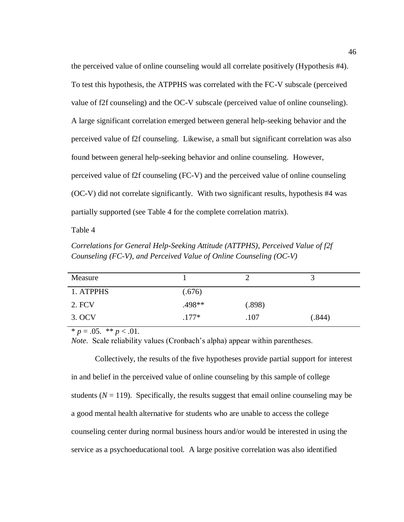the perceived value of online counseling would all correlate positively (Hypothesis #4). To test this hypothesis, the ATPPHS was correlated with the FC-V subscale (perceived value of f2f counseling) and the OC-V subscale (perceived value of online counseling). A large significant correlation emerged between general help-seeking behavior and the perceived value of f2f counseling. Likewise, a small but significant correlation was also found between general help-seeking behavior and online counseling. However, perceived value of f2f counseling (FC-V) and the perceived value of online counseling (OC-V) did not correlate significantly. With two significant results, hypothesis #4 was partially supported (see Table 4 for the complete correlation matrix).

Table 4

*Correlations for General Help-Seeking Attitude (ATTPHS), Perceived Value of f2f Counseling (FC-V), and Perceived Value of Online Counseling (OC-V)*

| Measure   |         |        |        |
|-----------|---------|--------|--------|
| 1. ATPPHS | (.676)  |        |        |
| 2. FCV    | .498**  | (.898) |        |
| 3. OCV    | $.177*$ | .107   | (.844) |

 $* p = .05.$  \*\*  $p < .01.$ 

*Note*. Scale reliability values (Cronbach's alpha) appear within parentheses.

Collectively, the results of the five hypotheses provide partial support for interest in and belief in the perceived value of online counseling by this sample of college students  $(N = 119)$ . Specifically, the results suggest that email online counseling may be a good mental health alternative for students who are unable to access the college counseling center during normal business hours and/or would be interested in using the service as a psychoeducational tool. A large positive correlation was also identified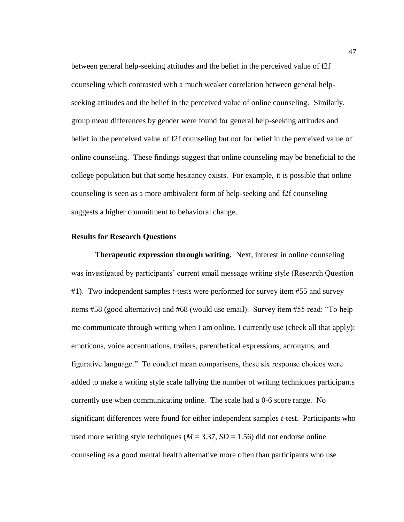between general help-seeking attitudes and the belief in the perceived value of f2f counseling which contrasted with a much weaker correlation between general helpseeking attitudes and the belief in the perceived value of online counseling. Similarly, group mean differences by gender were found for general help-seeking attitudes and belief in the perceived value of f2f counseling but not for belief in the perceived value of online counseling. These findings suggest that online counseling may be beneficial to the college population but that some hesitancy exists. For example, it is possible that online counseling is seen as a more ambivalent form of help-seeking and f2f counseling suggests a higher commitment to behavioral change.

#### **Results for Research Questions**

**Therapeutic expression through writing.** Next, interest in online counseling was investigated by participants' current email message writing style (Research Question #1). Two independent samples *t*-tests were performed for survey item #55 and survey items #58 (good alternative) and #68 (would use email). Survey item #55 read: "To help me communicate through writing when I am online, I currently use (check all that apply): emoticons, voice accentuations, trailers, parenthetical expressions, acronyms, and figurative language." To conduct mean comparisons, these six response choices were added to make a writing style scale tallying the number of writing techniques participants currently use when communicating online. The scale had a 0-6 score range. No significant differences were found for either independent samples *t*-test. Participants who used more writing style techniques ( $M = 3.37$ ,  $SD = 1.56$ ) did not endorse online counseling as a good mental health alternative more often than participants who use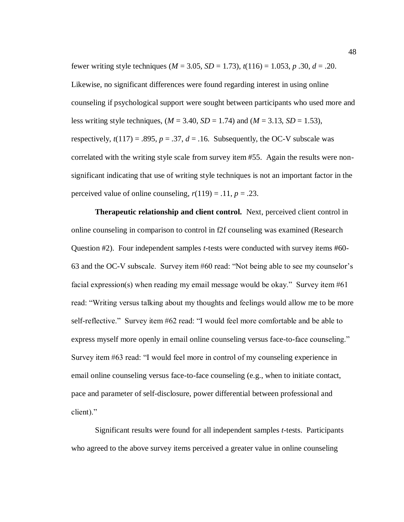fewer writing style techniques ( $M = 3.05$ ,  $SD = 1.73$ ),  $t(116) = 1.053$ ,  $p \cdot .30$ ,  $d = .20$ . Likewise, no significant differences were found regarding interest in using online counseling if psychological support were sought between participants who used more and less writing style techniques,  $(M = 3.40, SD = 1.74)$  and  $(M = 3.13, SD = 1.53)$ , respectively,  $t(117) = .895$ ,  $p = .37$ ,  $d = .16$ . Subsequently, the OC-V subscale was correlated with the writing style scale from survey item #55. Again the results were nonsignificant indicating that use of writing style techniques is not an important factor in the perceived value of online counseling,  $r(119) = .11$ ,  $p = .23$ .

**Therapeutic relationship and client control.** Next, perceived client control in online counseling in comparison to control in f2f counseling was examined (Research Question #2). Four independent samples *t*-tests were conducted with survey items #60- 63 and the OC-V subscale. Survey item #60 read: "Not being able to see my counselor's facial expression(s) when reading my email message would be okay." Survey item #61 read: "Writing versus talking about my thoughts and feelings would allow me to be more self-reflective." Survey item #62 read: "I would feel more comfortable and be able to express myself more openly in email online counseling versus face-to-face counseling." Survey item #63 read: "I would feel more in control of my counseling experience in email online counseling versus face-to-face counseling (e.g., when to initiate contact, pace and parameter of self-disclosure, power differential between professional and client)."

Significant results were found for all independent samples *t*-tests. Participants who agreed to the above survey items perceived a greater value in online counseling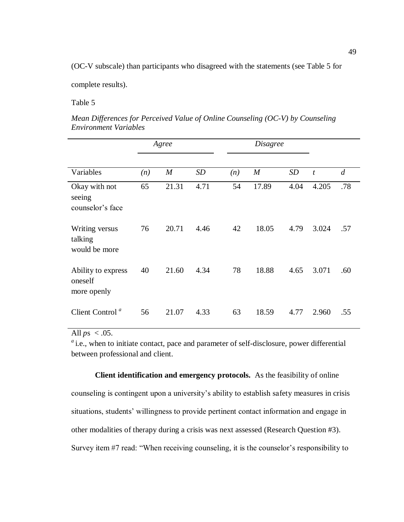(OC-V subscale) than participants who disagreed with the statements (see Table 5 for

complete results).

Table 5

| Mean Differences for Perceived Value of Online Counseling $(OC-V)$ by Counseling |  |  |
|----------------------------------------------------------------------------------|--|--|
| <i>Environment Variables</i>                                                     |  |  |

|                                              |     | Agree            |      | <b>Disagree</b> |                  |      |                  |                |  |  |
|----------------------------------------------|-----|------------------|------|-----------------|------------------|------|------------------|----------------|--|--|
| Variables                                    | (n) | $\boldsymbol{M}$ | SD   | (n)             | $\boldsymbol{M}$ | SD   | $\boldsymbol{t}$ | $\overline{d}$ |  |  |
| Okay with not<br>seeing<br>counselor's face  | 65  | 21.31            | 4.71 | 54              | 17.89            | 4.04 | 4.205            | .78            |  |  |
| Writing versus<br>talking<br>would be more   | 76  | 20.71            | 4.46 | 42              | 18.05            | 4.79 | 3.024            | .57            |  |  |
| Ability to express<br>oneself<br>more openly | 40  | 21.60            | 4.34 | 78              | 18.88            | 4.65 | 3.071            | .60            |  |  |
| Client Control <sup>a</sup>                  | 56  | 21.07            | 4.33 | 63              | 18.59            | 4.77 | 2.960            | .55            |  |  |

All  $ps < .05$ .

<sup>*a*</sup> i.e., when to initiate contact, pace and parameter of self-disclosure, power differential between professional and client.

**Client identification and emergency protocols.** As the feasibility of online counseling is contingent upon a university's ability to establish safety measures in crisis situations, students' willingness to provide pertinent contact information and engage in other modalities of therapy during a crisis was next assessed (Research Question #3). Survey item #7 read: "When receiving counseling, it is the counselor's responsibility to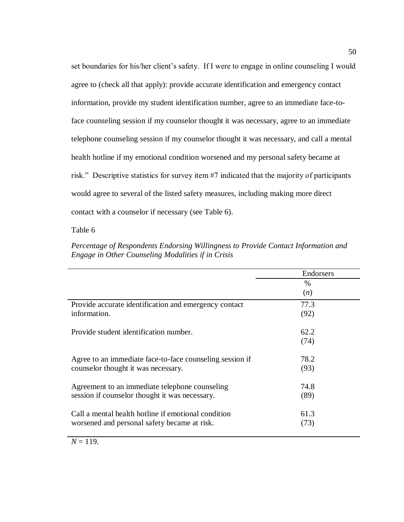set boundaries for his/her client's safety. If I were to engage in online counseling I would agree to (check all that apply): provide accurate identification and emergency contact information, provide my student identification number, agree to an immediate face-toface counseling session if my counselor thought it was necessary, agree to an immediate telephone counseling session if my counselor thought it was necessary, and call a mental health hotline if my emotional condition worsened and my personal safety became at risk." Descriptive statistics for survey item #7 indicated that the majority of participants would agree to several of the listed safety measures, including making more direct contact with a counselor if necessary (see Table 6).

Table 6

*Percentage of Respondents Endorsing Willingness to Provide Contact Information and Engage in Other Counseling Modalities if in Crisis*

|                                                          | Endorsers |
|----------------------------------------------------------|-----------|
|                                                          | $\%$      |
|                                                          | (n)       |
| Provide accurate identification and emergency contact    | 77.3      |
| information.                                             | (92)      |
|                                                          |           |
| Provide student identification number.                   | 62.2      |
|                                                          | (74)      |
| Agree to an immediate face-to-face counseling session if | 78.2      |
| counselor thought it was necessary.                      | (93)      |
| Agreement to an immediate telephone counseling           | 74.8      |
| session if counselor thought it was necessary.           | (89)      |
| Call a mental health hotline if emotional condition      | 61.3      |
| worsened and personal safety became at risk.             | (73)      |
|                                                          |           |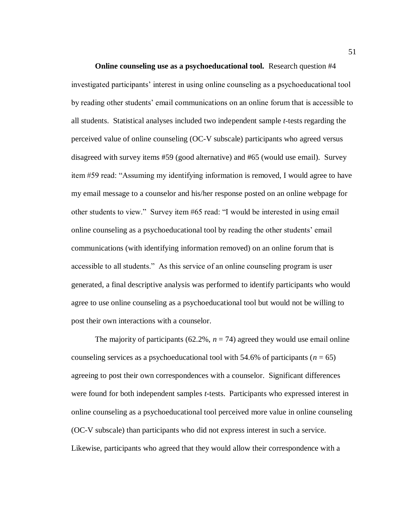**Online counseling use as a psychoeducational tool.** Research question #4 investigated participants' interest in using online counseling as a psychoeducational tool by reading other students' email communications on an online forum that is accessible to all students. Statistical analyses included two independent sample *t*-tests regarding the perceived value of online counseling (OC-V subscale) participants who agreed versus disagreed with survey items #59 (good alternative) and #65 (would use email). Survey item #59 read: "Assuming my identifying information is removed, I would agree to have my email message to a counselor and his/her response posted on an online webpage for other students to view." Survey item #65 read: "I would be interested in using email online counseling as a psychoeducational tool by reading the other students' email communications (with identifying information removed) on an online forum that is accessible to all students." As this service of an online counseling program is user generated, a final descriptive analysis was performed to identify participants who would agree to use online counseling as a psychoeducational tool but would not be willing to post their own interactions with a counselor.

The majority of participants  $(62.2\%, n = 74)$  agreed they would use email online counseling services as a psychoeducational tool with 54.6% of participants ( $n = 65$ ) agreeing to post their own correspondences with a counselor. Significant differences were found for both independent samples *t*-tests. Participants who expressed interest in online counseling as a psychoeducational tool perceived more value in online counseling (OC-V subscale) than participants who did not express interest in such a service. Likewise, participants who agreed that they would allow their correspondence with a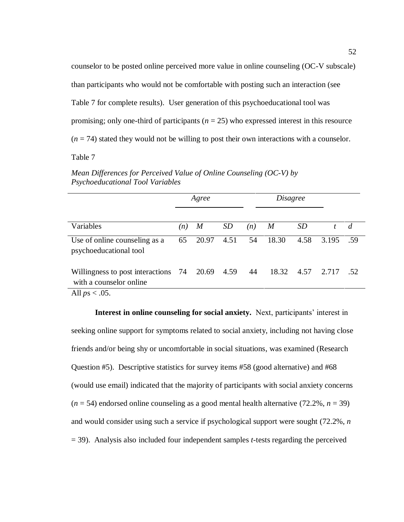counselor to be posted online perceived more value in online counseling (OC-V subscale) than participants who would not be comfortable with posting such an interaction (see Table 7 for complete results). User generation of this psychoeducational tool was promising; only one-third of participants  $(n = 25)$  who expressed interest in this resource  $(n = 74)$  stated they would not be willing to post their own interactions with a counselor.

Table 7

*Mean Differences for Perceived Value of Online Counseling (OC-V) by Psychoeducational Tool Variables*

|                                                                                                                                  | Agree |       |           |     | Disagree |           |       |     |
|----------------------------------------------------------------------------------------------------------------------------------|-------|-------|-----------|-----|----------|-----------|-------|-----|
| Variables                                                                                                                        | (n)   | M     | <i>SD</i> | (n) | M        | <i>SD</i> |       | d   |
| Use of online counseling as a<br>psychoeducational tool                                                                          | 65    | 20.97 | 4.51      | 54  | 18.30    | 4.58      | 3.195 | .59 |
| Willingness to post interactions 74 20.69 4.59 44<br>with a counselor online<br>$\Lambda$ 11 $\Lambda$ $\sim$ $\Lambda$ $\Gamma$ |       |       |           |     | 18.32    | 4.57      | 2.717 | .52 |

All  $ps < .05$ .

**Interest in online counseling for social anxiety.** Next, participants' interest in seeking online support for symptoms related to social anxiety, including not having close friends and/or being shy or uncomfortable in social situations, was examined (Research Question #5). Descriptive statistics for survey items #58 (good alternative) and #68 (would use email) indicated that the majority of participants with social anxiety concerns  $(n = 54)$  endorsed online counseling as a good mental health alternative (72.2%,  $n = 39$ ) and would consider using such a service if psychological support were sought (72.2%, *n* = 39). Analysis also included four independent samples *t*-tests regarding the perceived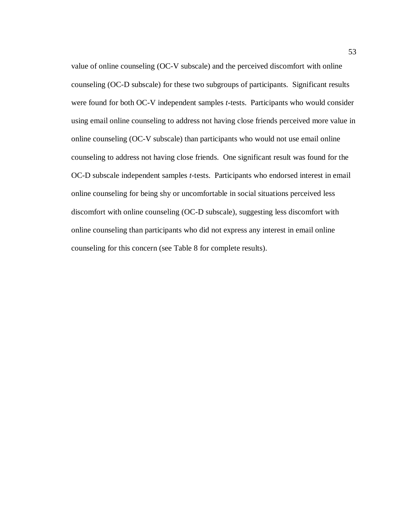value of online counseling (OC-V subscale) and the perceived discomfort with online counseling (OC-D subscale) for these two subgroups of participants. Significant results were found for both OC-V independent samples *t*-tests. Participants who would consider using email online counseling to address not having close friends perceived more value in online counseling (OC-V subscale) than participants who would not use email online counseling to address not having close friends. One significant result was found for the OC-D subscale independent samples *t*-tests. Participants who endorsed interest in email online counseling for being shy or uncomfortable in social situations perceived less discomfort with online counseling (OC-D subscale), suggesting less discomfort with online counseling than participants who did not express any interest in email online counseling for this concern (see Table 8 for complete results).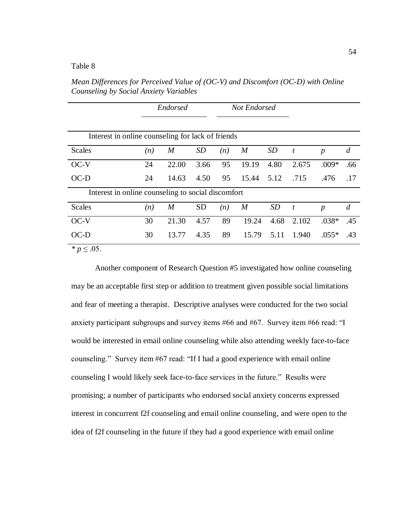### Table 8

*Mean Differences for Perceived Value of (OC-V) and Discomfort (OC-D) with Online Counseling by Social Anxiety Variables*

|                                                    |     | Endorsed         |           | Not Endorsed |                  |           |                  |                  |                |
|----------------------------------------------------|-----|------------------|-----------|--------------|------------------|-----------|------------------|------------------|----------------|
| Interest in online counseling for lack of friends  |     |                  |           |              |                  |           |                  |                  |                |
| <b>Scales</b>                                      | (n) | M                | <i>SD</i> | (n)          | M                | SD        | t                | $\boldsymbol{p}$ | $\overline{d}$ |
| $OC-V$                                             | 24  | 22.00            | 3.66      | 95           | 19.19            | 4.80      | 2.675            | $.009*$          | .66            |
| $OC-D$                                             | 24  | 14.63            | 4.50      | 95           | 15.44            | 5.12      | .715             | .476             | .17            |
| Interest in online counseling to social discomfort |     |                  |           |              |                  |           |                  |                  |                |
| <b>Scales</b>                                      | (n) | $\boldsymbol{M}$ | <b>SD</b> | (n)          | $\boldsymbol{M}$ | <b>SD</b> | $\boldsymbol{t}$ | $\boldsymbol{p}$ | $\overline{d}$ |
| $OC-V$                                             | 30  | 21.30            | 4.57      | 89           | 19.24            | 4.68      | 2.102            | $.038*$          | .45            |
| $OC-D$                                             | 30  | 13.77            | 4.35      | 89           | 15.79            | 5.11      | 1.940            | $.055*$          | .43            |
| $* p ≤ .05.$                                       |     |                  |           |              |                  |           |                  |                  |                |

Another component of Research Question #5 investigated how online counseling may be an acceptable first step or addition to treatment given possible social limitations and fear of meeting a therapist. Descriptive analyses were conducted for the two social anxiety participant subgroups and survey items #66 and #67. Survey item #66 read: "I would be interested in email online counseling while also attending weekly face-to-face counseling." Survey item #67 read: "If I had a good experience with email online counseling I would likely seek face-to-face services in the future." Results were promising; a number of participants who endorsed social anxiety concerns expressed interest in concurrent f2f counseling and email online counseling, and were open to the idea of f2f counseling in the future if they had a good experience with email online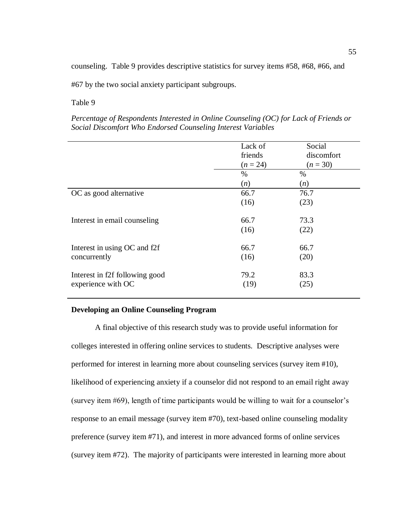counseling. Table 9 provides descriptive statistics for survey items #58, #68, #66, and

#67 by the two social anxiety participant subgroups.

# Table 9

*Percentage of Respondents Interested in Online Counseling (OC) for Lack of Friends or Social Discomfort Who Endorsed Counseling Interest Variables*

|                                                      | Lack of<br>friends<br>$(n = 24)$ | Social<br>discomfort<br>$(n = 30)$ |
|------------------------------------------------------|----------------------------------|------------------------------------|
|                                                      | $\%$<br>(n)                      | $\%$<br>(n)                        |
| OC as good alternative                               | 66.7<br>(16)                     | 76.7<br>(23)                       |
| Interest in email counseling                         | 66.7<br>(16)                     | 73.3<br>(22)                       |
| Interest in using OC and f2f<br>concurrently         | 66.7<br>(16)                     | 66.7<br>(20)                       |
| Interest in f2f following good<br>experience with OC | 79.2<br>(19)                     | 83.3<br>(25)                       |

## **Developing an Online Counseling Program**

A final objective of this research study was to provide useful information for colleges interested in offering online services to students. Descriptive analyses were performed for interest in learning more about counseling services (survey item #10), likelihood of experiencing anxiety if a counselor did not respond to an email right away (survey item #69), length of time participants would be willing to wait for a counselor's response to an email message (survey item #70), text-based online counseling modality preference (survey item #71), and interest in more advanced forms of online services (survey item #72). The majority of participants were interested in learning more about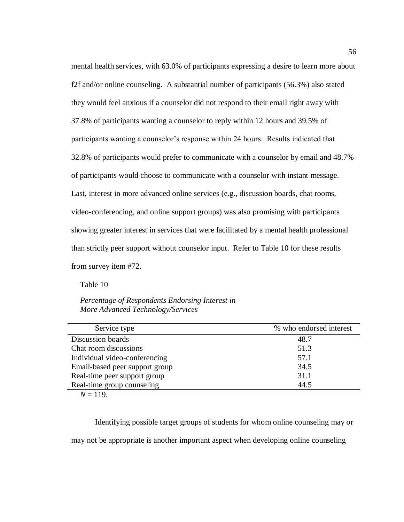mental health services, with 63.0% of participants expressing a desire to learn more about f2f and/or online counseling. A substantial number of participants (56.3%) also stated they would feel anxious if a counselor did not respond to their email right away with 37.8% of participants wanting a counselor to reply within 12 hours and 39.5% of participants wanting a counselor's response within 24 hours. Results indicated that 32.8% of participants would prefer to communicate with a counselor by email and 48.7% of participants would choose to communicate with a counselor with instant message. Last, interest in more advanced online services (e.g., discussion boards, chat rooms, video-conferencing, and online support groups) was also promising with participants showing greater interest in services that were facilitated by a mental health professional than strictly peer support without counselor input. Refer to Table 10 for these results from survey item #72.

Table 10

*Percentage of Respondents Endorsing Interest in More Advanced Technology/Services*

| Service type                   | % who endorsed interest |
|--------------------------------|-------------------------|
| Discussion boards              | 48.7                    |
| Chat room discussions          | 51.3                    |
| Individual video-conferencing  | 57.1                    |
| Email-based peer support group | 34.5                    |
| Real-time peer support group   | 31.1                    |
| Real-time group counseling     | 44.5                    |
|                                |                         |

 $N = 119$ .

Identifying possible target groups of students for whom online counseling may or may not be appropriate is another important aspect when developing online counseling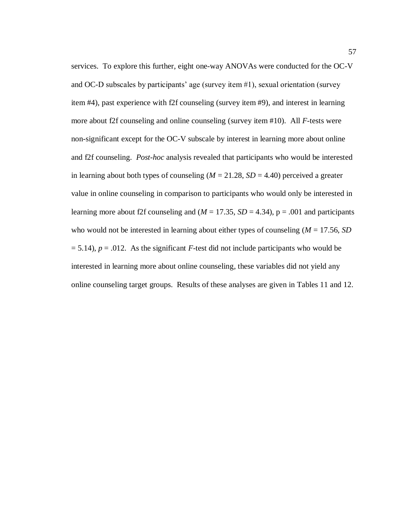services. To explore this further, eight one-way ANOVAs were conducted for the OC-V and OC-D subscales by participants' age (survey item #1), sexual orientation (survey item #4), past experience with f2f counseling (survey item #9), and interest in learning more about f2f counseling and online counseling (survey item #10). All *F*-tests were non-significant except for the OC-V subscale by interest in learning more about online and f2f counseling. *Post-hoc* analysis revealed that participants who would be interested in learning about both types of counseling  $(M = 21.28, SD = 4.40)$  perceived a greater value in online counseling in comparison to participants who would only be interested in learning more about f2f counseling and  $(M = 17.35, SD = 4.34)$ ,  $p = .001$  and participants who would not be interested in learning about either types of counseling  $(M = 17.56, SD)$  $= 5.14$ ),  $p = .012$ . As the significant *F*-test did not include participants who would be interested in learning more about online counseling, these variables did not yield any online counseling target groups. Results of these analyses are given in Tables 11 and 12.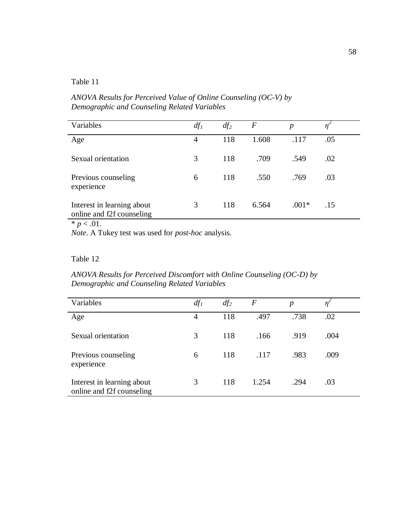## Table 11

# *ANOVA Results for Perceived Value of Online Counseling (OC-V) by Demographic and Counseling Related Variables*

| $df_1$ | $df_2$ | $\,F$ | $\boldsymbol{p}$ | η   |
|--------|--------|-------|------------------|-----|
| 4      | 118    | 1.608 | .117             | .05 |
| 3      | 118    | .709  | .549             | .02 |
| 6      | 118    | .550  | .769             | .03 |
| 3      | 118    | 6.564 | $.001*$          | .15 |
|        |        |       |                  |     |

 $p < .01$ .

*Note*. A Tukey test was used for *post-hoc* analysis.

# Table 12

*ANOVA Results for Perceived Discomfort with Online Counseling (OC-D) by Demographic and Counseling Related Variables*

| Variables                                               | $df_1$ | $df_2$ | $\boldsymbol{F}$ | $\boldsymbol{p}$ | $\eta$ |
|---------------------------------------------------------|--------|--------|------------------|------------------|--------|
| Age                                                     | 4      | 118    | .497             | .738             | .02    |
| Sexual orientation                                      | 3      | 118    | .166             | .919             | .004   |
| Previous counseling<br>experience                       | 6      | 118    | .117             | .983             | .009   |
| Interest in learning about<br>online and f2f counseling | 3      | 118    | 1.254            | .294             | .03    |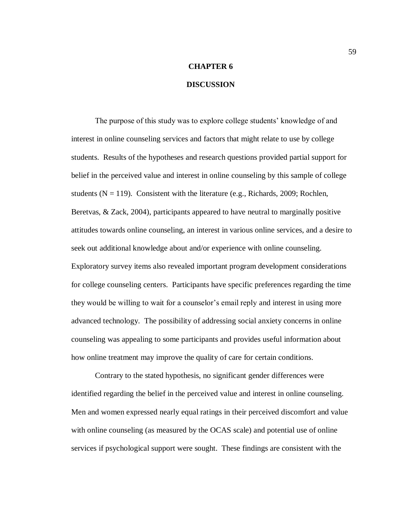# **CHAPTER 6 DISCUSSION**

The purpose of this study was to explore college students' knowledge of and interest in online counseling services and factors that might relate to use by college students. Results of the hypotheses and research questions provided partial support for belief in the perceived value and interest in online counseling by this sample of college students ( $N = 119$ ). Consistent with the literature (e.g., Richards, 2009; Rochlen, Beretvas, & Zack, 2004), participants appeared to have neutral to marginally positive attitudes towards online counseling, an interest in various online services, and a desire to seek out additional knowledge about and/or experience with online counseling. Exploratory survey items also revealed important program development considerations for college counseling centers. Participants have specific preferences regarding the time they would be willing to wait for a counselor's email reply and interest in using more advanced technology. The possibility of addressing social anxiety concerns in online counseling was appealing to some participants and provides useful information about how online treatment may improve the quality of care for certain conditions.

Contrary to the stated hypothesis, no significant gender differences were identified regarding the belief in the perceived value and interest in online counseling. Men and women expressed nearly equal ratings in their perceived discomfort and value with online counseling (as measured by the OCAS scale) and potential use of online services if psychological support were sought. These findings are consistent with the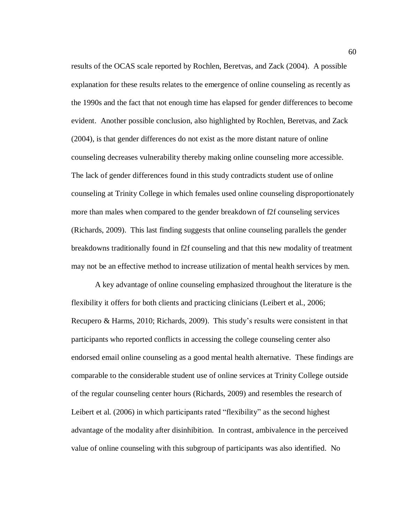results of the OCAS scale reported by Rochlen, Beretvas, and Zack (2004). A possible explanation for these results relates to the emergence of online counseling as recently as the 1990s and the fact that not enough time has elapsed for gender differences to become evident. Another possible conclusion, also highlighted by Rochlen, Beretvas, and Zack (2004), is that gender differences do not exist as the more distant nature of online counseling decreases vulnerability thereby making online counseling more accessible. The lack of gender differences found in this study contradicts student use of online counseling at Trinity College in which females used online counseling disproportionately more than males when compared to the gender breakdown of f2f counseling services (Richards, 2009). This last finding suggests that online counseling parallels the gender breakdowns traditionally found in f2f counseling and that this new modality of treatment may not be an effective method to increase utilization of mental health services by men.

A key advantage of online counseling emphasized throughout the literature is the flexibility it offers for both clients and practicing clinicians (Leibert et al., 2006; Recupero & Harms, 2010; Richards, 2009). This study's results were consistent in that participants who reported conflicts in accessing the college counseling center also endorsed email online counseling as a good mental health alternative. These findings are comparable to the considerable student use of online services at Trinity College outside of the regular counseling center hours (Richards, 2009) and resembles the research of Leibert et al. (2006) in which participants rated "flexibility" as the second highest advantage of the modality after disinhibition. In contrast, ambivalence in the perceived value of online counseling with this subgroup of participants was also identified. No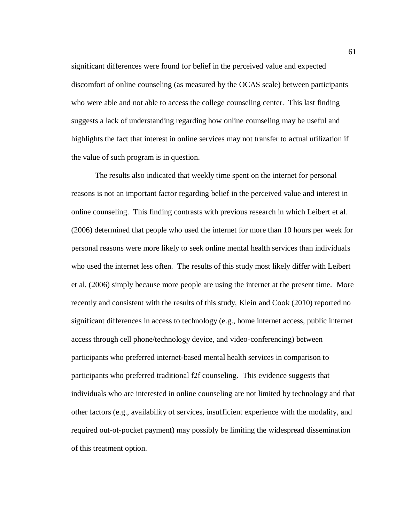significant differences were found for belief in the perceived value and expected discomfort of online counseling (as measured by the OCAS scale) between participants who were able and not able to access the college counseling center. This last finding suggests a lack of understanding regarding how online counseling may be useful and highlights the fact that interest in online services may not transfer to actual utilization if the value of such program is in question.

The results also indicated that weekly time spent on the internet for personal reasons is not an important factor regarding belief in the perceived value and interest in online counseling. This finding contrasts with previous research in which Leibert et al. (2006) determined that people who used the internet for more than 10 hours per week for personal reasons were more likely to seek online mental health services than individuals who used the internet less often. The results of this study most likely differ with Leibert et al. (2006) simply because more people are using the internet at the present time. More recently and consistent with the results of this study, Klein and Cook (2010) reported no significant differences in access to technology (e.g., home internet access, public internet access through cell phone/technology device, and video-conferencing) between participants who preferred internet-based mental health services in comparison to participants who preferred traditional f2f counseling. This evidence suggests that individuals who are interested in online counseling are not limited by technology and that other factors (e.g., availability of services, insufficient experience with the modality, and required out-of-pocket payment) may possibly be limiting the widespread dissemination of this treatment option.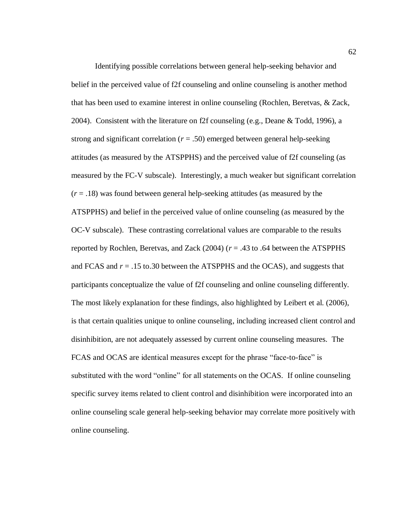Identifying possible correlations between general help-seeking behavior and belief in the perceived value of f2f counseling and online counseling is another method that has been used to examine interest in online counseling (Rochlen, Beretvas, & Zack, 2004). Consistent with the literature on f2f counseling (e.g., Deane & Todd, 1996), a strong and significant correlation  $(r = .50)$  emerged between general help-seeking attitudes (as measured by the ATSPPHS) and the perceived value of f2f counseling (as measured by the FC-V subscale). Interestingly, a much weaker but significant correlation (*r* = .18) was found between general help-seeking attitudes (as measured by the ATSPPHS) and belief in the perceived value of online counseling (as measured by the OC-V subscale). These contrasting correlational values are comparable to the results reported by Rochlen, Beretvas, and Zack (2004) (*r* = .43 to .64 between the ATSPPHS and FCAS and  $r = .15$  to 30 between the ATSPPHS and the OCAS), and suggests that participants conceptualize the value of f2f counseling and online counseling differently. The most likely explanation for these findings, also highlighted by Leibert et al. (2006), is that certain qualities unique to online counseling, including increased client control and disinhibition, are not adequately assessed by current online counseling measures. The FCAS and OCAS are identical measures except for the phrase "face-to-face" is substituted with the word "online" for all statements on the OCAS. If online counseling specific survey items related to client control and disinhibition were incorporated into an online counseling scale general help-seeking behavior may correlate more positively with online counseling.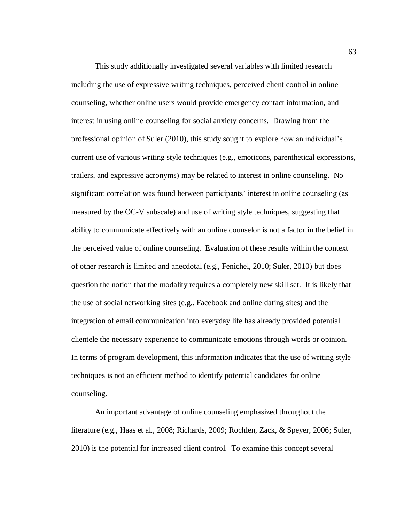This study additionally investigated several variables with limited research including the use of expressive writing techniques, perceived client control in online counseling, whether online users would provide emergency contact information, and interest in using online counseling for social anxiety concerns. Drawing from the professional opinion of Suler (2010), this study sought to explore how an individual's current use of various writing style techniques (e.g., emoticons, parenthetical expressions, trailers, and expressive acronyms) may be related to interest in online counseling. No significant correlation was found between participants' interest in online counseling (as measured by the OC-V subscale) and use of writing style techniques, suggesting that ability to communicate effectively with an online counselor is not a factor in the belief in the perceived value of online counseling. Evaluation of these results within the context of other research is limited and anecdotal (e.g., Fenichel, 2010; Suler, 2010) but does question the notion that the modality requires a completely new skill set. It is likely that the use of social networking sites (e.g., Facebook and online dating sites) and the integration of email communication into everyday life has already provided potential clientele the necessary experience to communicate emotions through words or opinion. In terms of program development, this information indicates that the use of writing style techniques is not an efficient method to identify potential candidates for online counseling.

An important advantage of online counseling emphasized throughout the literature (e.g., Haas et al., 2008; Richards, 2009; Rochlen, Zack, & Speyer, 2006; Suler, 2010) is the potential for increased client control. To examine this concept several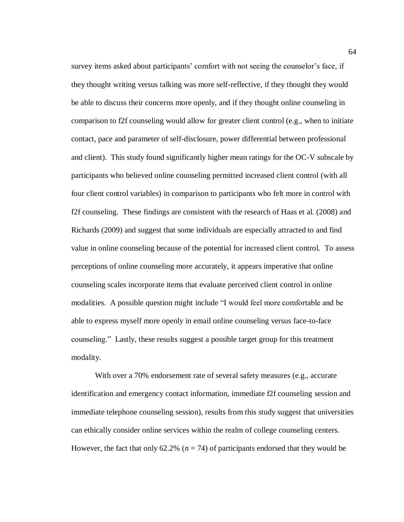survey items asked about participants' comfort with not seeing the counselor's face, if they thought writing versus talking was more self-reflective, if they thought they would be able to discuss their concerns more openly, and if they thought online counseling in comparison to f2f counseling would allow for greater client control (e.g., when to initiate contact, pace and parameter of self-disclosure, power differential between professional and client). This study found significantly higher mean ratings for the OC-V subscale by participants who believed online counseling permitted increased client control (with all four client control variables) in comparison to participants who felt more in control with f2f counseling. These findings are consistent with the research of Haas et al. (2008) and Richards (2009) and suggest that some individuals are especially attracted to and find value in online counseling because of the potential for increased client control. To assess perceptions of online counseling more accurately, it appears imperative that online counseling scales incorporate items that evaluate perceived client control in online modalities. A possible question might include "I would feel more comfortable and be able to express myself more openly in email online counseling versus face-to-face counseling." Lastly, these results suggest a possible target group for this treatment modality.

With over a 70% endorsement rate of several safety measures (e.g., accurate identification and emergency contact information, immediate f2f counseling session and immediate telephone counseling session), results from this study suggest that universities can ethically consider online services within the realm of college counseling centers. However, the fact that only 62.2%  $(n = 74)$  of participants endorsed that they would be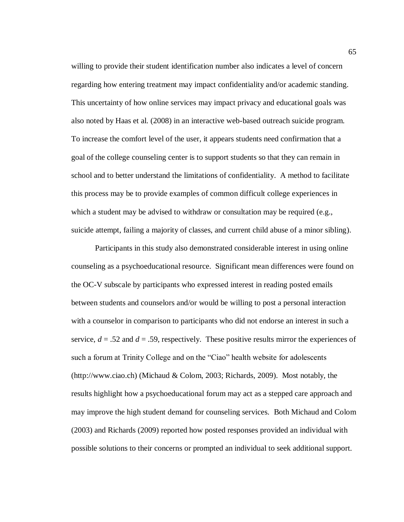willing to provide their student identification number also indicates a level of concern regarding how entering treatment may impact confidentiality and/or academic standing. This uncertainty of how online services may impact privacy and educational goals was also noted by Haas et al. (2008) in an interactive web-based outreach suicide program. To increase the comfort level of the user, it appears students need confirmation that a goal of the college counseling center is to support students so that they can remain in school and to better understand the limitations of confidentiality. A method to facilitate this process may be to provide examples of common difficult college experiences in which a student may be advised to withdraw or consultation may be required (e.g., suicide attempt, failing a majority of classes, and current child abuse of a minor sibling).

Participants in this study also demonstrated considerable interest in using online counseling as a psychoeducational resource. Significant mean differences were found on the OC-V subscale by participants who expressed interest in reading posted emails between students and counselors and/or would be willing to post a personal interaction with a counselor in comparison to participants who did not endorse an interest in such a service,  $d = 0.52$  and  $d = 0.59$ , respectively. These positive results mirror the experiences of such a forum at Trinity College and on the "Ciao" health website for adolescents [\(http://www.ciao.ch\)](http://www.ciao.ch/) (Michaud & Colom, 2003; Richards, 2009). Most notably, the results highlight how a psychoeducational forum may act as a stepped care approach and may improve the high student demand for counseling services. Both Michaud and Colom (2003) and Richards (2009) reported how posted responses provided an individual with possible solutions to their concerns or prompted an individual to seek additional support.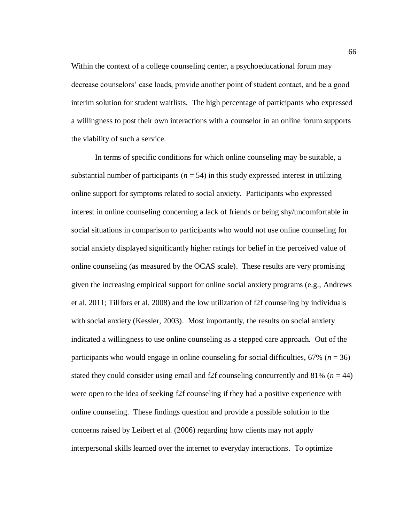Within the context of a college counseling center, a psychoeducational forum may decrease counselors' case loads, provide another point of student contact, and be a good interim solution for student waitlists. The high percentage of participants who expressed a willingness to post their own interactions with a counselor in an online forum supports the viability of such a service.

In terms of specific conditions for which online counseling may be suitable, a substantial number of participants  $(n = 54)$  in this study expressed interest in utilizing online support for symptoms related to social anxiety. Participants who expressed interest in online counseling concerning a lack of friends or being shy/uncomfortable in social situations in comparison to participants who would not use online counseling for social anxiety displayed significantly higher ratings for belief in the perceived value of online counseling (as measured by the OCAS scale). These results are very promising given the increasing empirical support for online social anxiety programs (e.g., Andrews et al. 2011; Tillfors et al. 2008) and the low utilization of f2f counseling by individuals with social anxiety (Kessler, 2003). Most importantly, the results on social anxiety indicated a willingness to use online counseling as a stepped care approach. Out of the participants who would engage in online counseling for social difficulties, 67% (*n* = 36) stated they could consider using email and f2f counseling concurrently and  $81\%$  ( $n = 44$ ) were open to the idea of seeking f2f counseling if they had a positive experience with online counseling. These findings question and provide a possible solution to the concerns raised by Leibert et al. (2006) regarding how clients may not apply interpersonal skills learned over the internet to everyday interactions. To optimize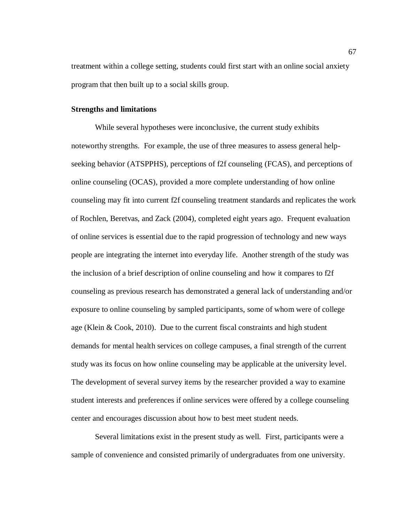treatment within a college setting, students could first start with an online social anxiety program that then built up to a social skills group.

### **Strengths and limitations**

While several hypotheses were inconclusive, the current study exhibits noteworthy strengths. For example, the use of three measures to assess general helpseeking behavior (ATSPPHS), perceptions of f2f counseling (FCAS), and perceptions of online counseling (OCAS), provided a more complete understanding of how online counseling may fit into current f2f counseling treatment standards and replicates the work of Rochlen, Beretvas, and Zack (2004), completed eight years ago. Frequent evaluation of online services is essential due to the rapid progression of technology and new ways people are integrating the internet into everyday life. Another strength of the study was the inclusion of a brief description of online counseling and how it compares to f2f counseling as previous research has demonstrated a general lack of understanding and/or exposure to online counseling by sampled participants, some of whom were of college age (Klein & Cook, 2010). Due to the current fiscal constraints and high student demands for mental health services on college campuses, a final strength of the current study was its focus on how online counseling may be applicable at the university level. The development of several survey items by the researcher provided a way to examine student interests and preferences if online services were offered by a college counseling center and encourages discussion about how to best meet student needs.

Several limitations exist in the present study as well. First, participants were a sample of convenience and consisted primarily of undergraduates from one university.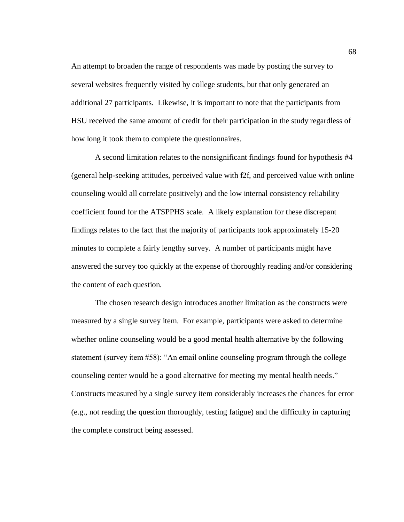An attempt to broaden the range of respondents was made by posting the survey to several websites frequently visited by college students, but that only generated an additional 27 participants. Likewise, it is important to note that the participants from HSU received the same amount of credit for their participation in the study regardless of how long it took them to complete the questionnaires.

A second limitation relates to the nonsignificant findings found for hypothesis #4 (general help-seeking attitudes, perceived value with f2f, and perceived value with online counseling would all correlate positively) and the low internal consistency reliability coefficient found for the ATSPPHS scale. A likely explanation for these discrepant findings relates to the fact that the majority of participants took approximately 15-20 minutes to complete a fairly lengthy survey. A number of participants might have answered the survey too quickly at the expense of thoroughly reading and/or considering the content of each question.

The chosen research design introduces another limitation as the constructs were measured by a single survey item. For example, participants were asked to determine whether online counseling would be a good mental health alternative by the following statement (survey item #58): "An email online counseling program through the college counseling center would be a good alternative for meeting my mental health needs." Constructs measured by a single survey item considerably increases the chances for error (e.g., not reading the question thoroughly, testing fatigue) and the difficulty in capturing the complete construct being assessed.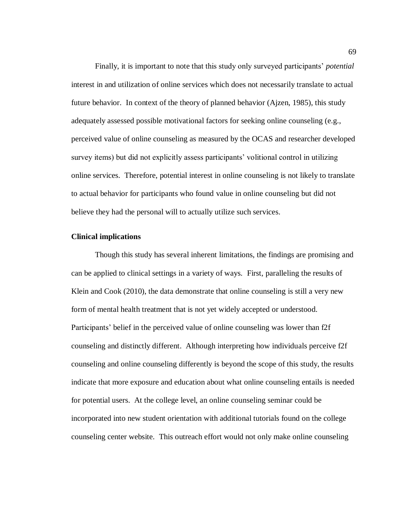Finally, it is important to note that this study only surveyed participants' *potential* interest in and utilization of online services which does not necessarily translate to actual future behavior. In context of the theory of planned behavior (Ajzen, 1985), this study adequately assessed possible motivational factors for seeking online counseling (e.g., perceived value of online counseling as measured by the OCAS and researcher developed survey items) but did not explicitly assess participants' volitional control in utilizing online services. Therefore, potential interest in online counseling is not likely to translate to actual behavior for participants who found value in online counseling but did not believe they had the personal will to actually utilize such services.

### **Clinical implications**

Though this study has several inherent limitations, the findings are promising and can be applied to clinical settings in a variety of ways. First, paralleling the results of Klein and Cook (2010), the data demonstrate that online counseling is still a very new form of mental health treatment that is not yet widely accepted or understood. Participants' belief in the perceived value of online counseling was lower than f2f counseling and distinctly different. Although interpreting how individuals perceive f2f counseling and online counseling differently is beyond the scope of this study, the results indicate that more exposure and education about what online counseling entails is needed for potential users. At the college level, an online counseling seminar could be incorporated into new student orientation with additional tutorials found on the college counseling center website. This outreach effort would not only make online counseling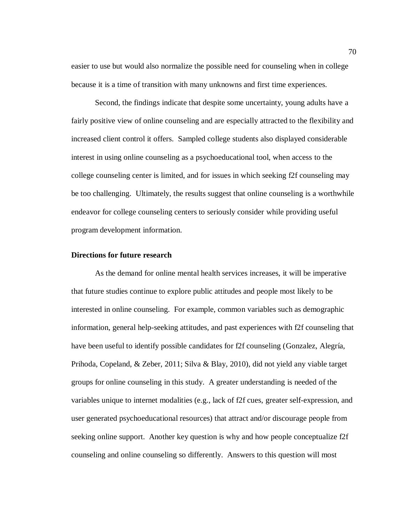easier to use but would also normalize the possible need for counseling when in college because it is a time of transition with many unknowns and first time experiences.

Second, the findings indicate that despite some uncertainty, young adults have a fairly positive view of online counseling and are especially attracted to the flexibility and increased client control it offers. Sampled college students also displayed considerable interest in using online counseling as a psychoeducational tool, when access to the college counseling center is limited, and for issues in which seeking f2f counseling may be too challenging. Ultimately, the results suggest that online counseling is a worthwhile endeavor for college counseling centers to seriously consider while providing useful program development information.

### **Directions for future research**

As the demand for online mental health services increases, it will be imperative that future studies continue to explore public attitudes and people most likely to be interested in online counseling. For example, common variables such as demographic information, general help-seeking attitudes, and past experiences with f2f counseling that have been useful to identify possible candidates for f2f counseling (Gonzalez, Alegría, Prihoda, Copeland, & Zeber, 2011; Silva & Blay, 2010), did not yield any viable target groups for online counseling in this study. A greater understanding is needed of the variables unique to internet modalities (e.g., lack of f2f cues, greater self-expression, and user generated psychoeducational resources) that attract and/or discourage people from seeking online support. Another key question is why and how people conceptualize f2f counseling and online counseling so differently. Answers to this question will most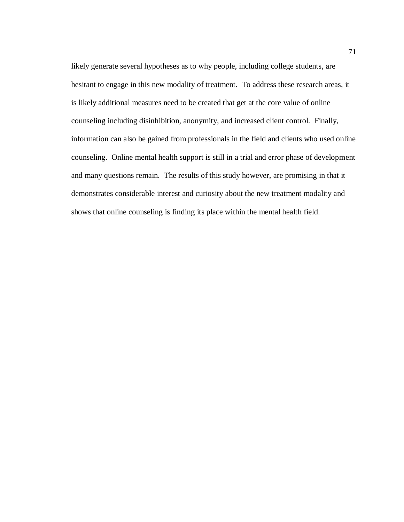likely generate several hypotheses as to why people, including college students, are hesitant to engage in this new modality of treatment. To address these research areas, it is likely additional measures need to be created that get at the core value of online counseling including disinhibition, anonymity, and increased client control. Finally, information can also be gained from professionals in the field and clients who used online counseling. Online mental health support is still in a trial and error phase of development and many questions remain. The results of this study however, are promising in that it demonstrates considerable interest and curiosity about the new treatment modality and shows that online counseling is finding its place within the mental health field.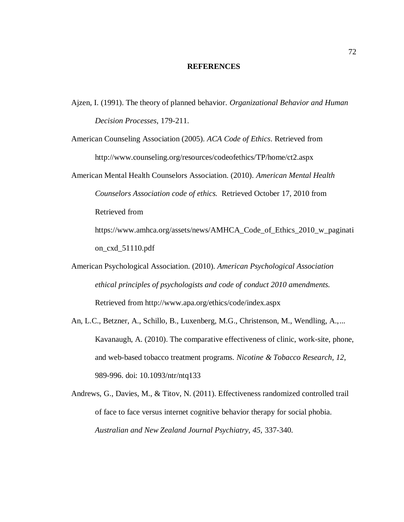#### **REFERENCES**

- Ajzen, I. (1991). The theory of planned behavior. *Organizational Behavior and Human Decision Processes*, 179-211.
- American Counseling Association (2005). *ACA Code of Ethics*. Retrieved from <http://www.counseling.org/resources/codeofethics/TP/home/ct2.aspx>
- American Mental Health Counselors Association. (2010). *American Mental Health Counselors Association code of ethics.* Retrieved October 17, 2010 from Retrieved from [https://www.amhca.org/assets/news/AMHCA\\_Code\\_of\\_Ethics\\_2010\\_w\\_paginati](https://www.amhca.org/assets/news/AMHCA_Code_of_Ethics_2010_w_pagination_cxd_51110.pdf)

[on\\_cxd\\_51110.pdf](https://www.amhca.org/assets/news/AMHCA_Code_of_Ethics_2010_w_pagination_cxd_51110.pdf)

- American Psychological Association. (2010). *American Psychological Association ethical principles of psychologists and code of conduct 2010 amendments.*  Retrieved from<http://www.apa.org/ethics/code/index.aspx>
- An, L.C., Betzner, A., Schillo, B., Luxenberg, M.G., Christenson, M., Wendling, A.,... Kavanaugh, A. (2010). The comparative effectiveness of clinic, work-site, phone, and web-based tobacco treatment programs. *Nicotine & Tobacco Research, 12,*  989-996. doi: 10.1093/ntr/ntq133
- Andrews, G., Davies, M., & Titov, N. (2011). Effectiveness randomized controlled trail of face to face versus internet cognitive behavior therapy for social phobia. *Australian and New Zealand Journal Psychiatry, 45,* 337-340.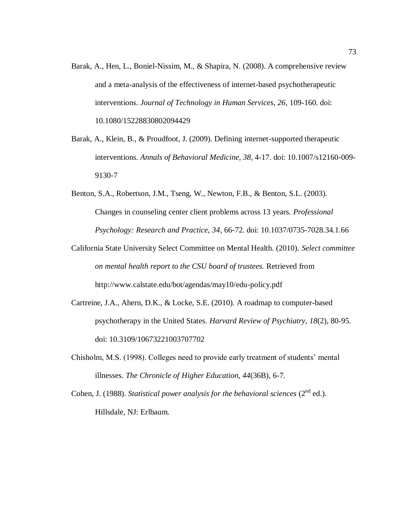- Barak, A., Hen, L., Boniel-Nissim, M., & Shapira, N. (2008). A comprehensive review and a meta-analysis of the effectiveness of internet-based psychotherapeutic interventions. *Journal of Technology in Human Services, 26*, 109-160. doi: 10.1080/15228830802094429
- Barak, A., Klein, B., & Proudfoot, J. (2009). Defining internet-supported therapeutic interventions. *Annals of Behavioral Medicine, 38,* 4-17. doi: 10.1007/s12160-009- 9130-7
- Benton, S.A., Robertson, J.M., Tseng, W., Newton, F.B., & Benton, S.L. (2003). Changes in counseling center client problems across 13 years. *Professional Psychology: Research and Practice, 34*, 66-72. doi: 10.1037/0735-7028.34.1.66
- California State University Select Committee on Mental Health. (2010). *Select committee on mental health report to the CSU board of trustees.* Retrieved from <http://www.calstate.edu/bot/agendas/may10/edu-policy.pdf>
- Cartreine, J.A., Ahern, D.K., & Locke, S.E. (2010). A roadmap to computer-based psychotherapy in the United States. *Harvard Review of Psychiatry*, *18*(2), 80-95. doi: 10.3109/10673221003707702
- Chisholm, M.S. (1998). Colleges need to provide early treatment of students' mental illnesses. *The Chronicle of Higher Education, 44*(36B), 6-7.
- Cohen, J. (1988). *Statistical power analysis for the behavioral sciences* ( $2<sup>nd</sup>$  ed.). Hillsdale, NJ: Erlbaum.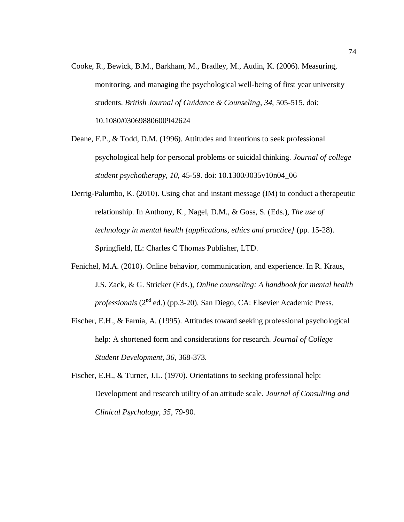- Cooke, R., Bewick, B.M., Barkham, M., Bradley, M., Audin, K. (2006). Measuring, monitoring, and managing the psychological well-being of first year university students. *British Journal of Guidance & Counseling, 34*, 505-515. doi: 10.1080/03069880600942624
- Deane, F.P., & Todd, D.M. (1996). Attitudes and intentions to seek professional psychological help for personal problems or suicidal thinking. *Journal of college student psychotherapy, 10,* 45-59. doi: 10.1300/J035v10n04\_06
- Derrig-Palumbo, K. (2010). Using chat and instant message (IM) to conduct a therapeutic relationship. In Anthony, K., Nagel, D.M., & Goss, S. (Eds.), *The use of technology in mental health [applications, ethics and practice]* (pp. 15-28). Springfield, IL: Charles C Thomas Publisher, LTD.
- Fenichel, M.A. (2010). Online behavior, communication, and experience. In R. Kraus, J.S. Zack, & G. Stricker (Eds.), *Online counseling: A handbook for mental health professionals* (2<sup>nd</sup> ed.) (pp.3-20). San Diego, CA: Elsevier Academic Press.
- Fischer, E.H., & Farnia, A. (1995). Attitudes toward seeking professional psychological help: A shortened form and considerations for research. *Journal of College Student Development, 36*, 368-373.
- Fischer, E.H., & Turner, J.L. (1970). Orientations to seeking professional help: Development and research utility of an attitude scale. *Journal of Consulting and Clinical Psychology, 35*, 79-90.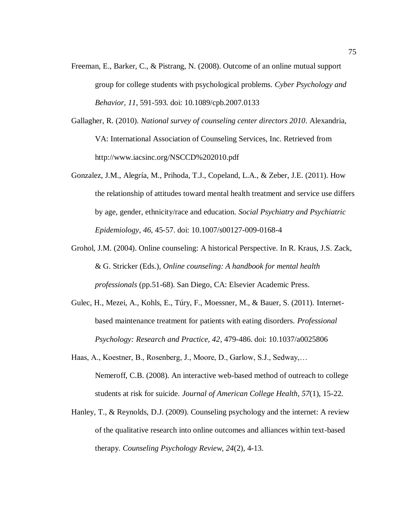- Freeman, E., Barker, C., & Pistrang, N. (2008). Outcome of an online mutual support group for college students with psychological problems. *Cyber Psychology and Behavior, 11*, 591-593. doi: 10.1089/cpb.2007.0133
- Gallagher, R. (2010). *National survey of counseling center directors 2010*. Alexandria, VA: International Association of Counseling Services, Inc. Retrieved from <http://www.iacsinc.org/NSCCD%202010.pdf>
- Gonzalez, J.M., Alegría, M., Prihoda, T.J., Copeland, L.A., & Zeber, J.E. (2011). How the relationship of attitudes toward mental health treatment and service use differs by age, gender, ethnicity/race and education. *Social Psychiatry and Psychiatric Epidemiology, 46*, 45-57. doi: 10.1007/s00127-009-0168-4
- Grohol, J.M. (2004). Online counseling: A historical Perspective. In R. Kraus, J.S. Zack, & G. Stricker (Eds.), *Online counseling: A handbook for mental health professionals* (pp.51-68). San Diego, CA: Elsevier Academic Press.
- Gulec, H., Mezei, A., Kohls, E., Túry, F., Moessner, M., & Bauer, S. (2011). Internetbased maintenance treatment for patients with eating disorders. *Professional Psychology: Research and Practice, 42*, 479-486. doi: 10.1037/a0025806
- Haas, A., Koestner, B., Rosenberg, J., Moore, D., Garlow, S.J., Sedway,… Nemeroff, C.B. (2008). An interactive web-based method of outreach to college students at risk for suicide. *Journal of American College Health, 57*(1), 15-22.
- Hanley, T., & Reynolds, D.J. (2009). Counseling psychology and the internet: A review of the qualitative research into online outcomes and alliances within text-based therapy. *Counseling Psychology Review, 24*(2), 4-13.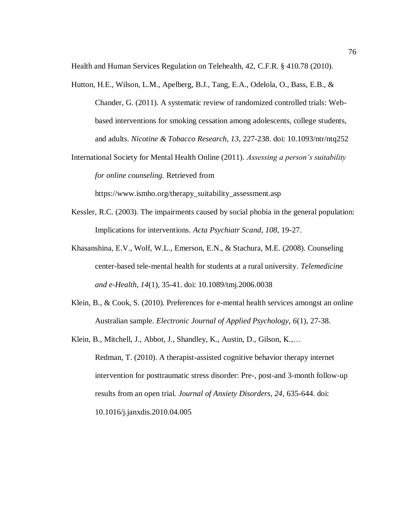Health and Human Services Regulation on Telehealth, 42, C.F.R. § 410.78 (2010).

- Hutton, H.E., Wilson, L.M., Apelberg, B.J., Tang, E.A., Odelola, O., Bass, E.B., & Chander, G. (2011). A systematic review of randomized controlled trials: Webbased interventions for smoking cessation among adolescents, college students, and adults. *Nicotine & Tobacco Research, 13*, 227-238. doi: 10.1093/ntr/ntq252
- International Society for Mental Health Online (2011). *Assessing a person's suitability for online counseling.* Retrieved from

[https://www.ismho.org/therapy\\_suitability\\_assessment.asp](https://www.ismho.org/therapy_suitability_assessment.asp)

- Kessler, R.C. (2003). The impairments caused by social phobia in the general population: Implications for interventions. *Acta Psychiatr Scand, 108*, 19-27.
- Khasanshina, E.V., Wolf, W.L., Emerson, E.N., & Stachura, M.E. (2008). Counseling center-based tele-mental health for students at a rural university. *Telemedicine and e-Health, 14*(1), 35-41. doi: 10.1089/tmj.2006.0038
- Klein, B., & Cook, S. (2010). Preferences for e-mental health services amongst an online Australian sample. *Electronic Journal of Applied Psychology, 6*(1), 27-38.
- Klein, B., Mitchell, J., Abbot, J., Shandley, K., Austin, D., Gilson, K.,… Redman, T. (2010). A therapist-assisted cognitive behavior therapy internet intervention for posttraumatic stress disorder: Pre-, post-and 3-month follow-up results from an open trial. *Journal of Anxiety Disorders, 24,* 635-644. doi: 10.1016/j.janxdis.2010.04.005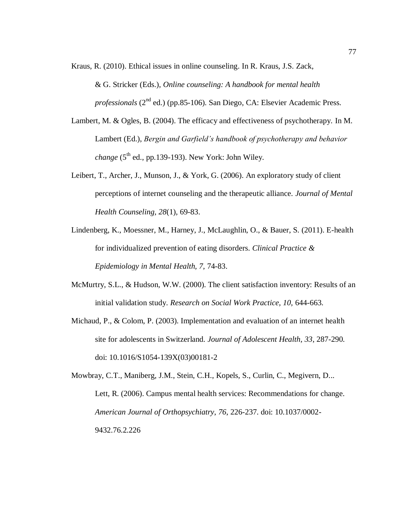Kraus, R. (2010). Ethical issues in online counseling. In R. Kraus, J.S. Zack,

& G. Stricker (Eds.), *Online counseling: A handbook for mental health professionals* (2<sup>nd</sup> ed.) (pp.85-106). San Diego, CA: Elsevier Academic Press.

- Lambert, M. & Ogles, B. (2004). The efficacy and effectiveness of psychotherapy. In M. Lambert (Ed.), *Bergin and Garfield's handbook of psychotherapy and behavior change* ( $5<sup>th</sup>$  ed., pp.139-193). New York: John Wiley.
- Leibert, T., Archer, J., Munson, J., & York, G. (2006). An exploratory study of client perceptions of internet counseling and the therapeutic alliance. *Journal of Mental Health Counseling, 28*(1)*,* 69-83.
- Lindenberg, K., Moessner, M., Harney, J., McLaughlin, O., & Bauer, S. (2011). E-health for individualized prevention of eating disorders. *Clinical Practice & Epidemiology in Mental Health, 7,* 74-83.
- McMurtry, S.L., & Hudson, W.W. (2000). The client satisfaction inventory: Results of an initial validation study. *Research on Social Work Practice, 10,* 644-663.
- Michaud, P., & Colom, P. (2003). Implementation and evaluation of an internet health site for adolescents in Switzerland. *Journal of Adolescent Health, 33*, 287-290. doi: 10.1016/S1054-139X(03)00181-2

Mowbray, C.T., Maniberg, J.M., Stein, C.H., Kopels, S., Curlin, C., Megivern, D... Lett, R. (2006). Campus mental health services: Recommendations for change. *American Journal of Orthopsychiatry*, *76*, 226-237. doi: 10.1037/0002- 9432.76.2.226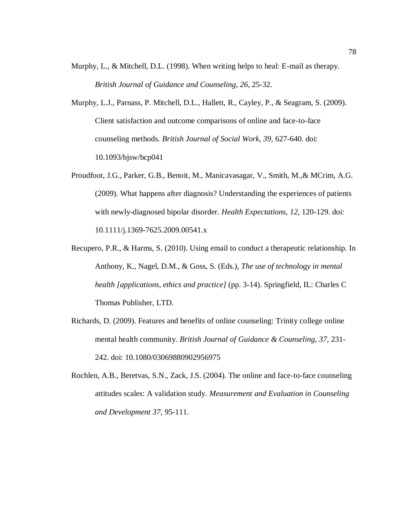- Murphy, L., & Mitchell, D.L. (1998). When writing helps to heal: E-mail as therapy. *British Journal of Guidance and Counseling, 26*, 25-32.
- Murphy, L.J., Parnass, P. Mitchell, D.L., Hallett, R., Cayley, P., & Seagram, S. (2009). Client satisfaction and outcome comparisons of online and face-to-face counseling methods. *British Journal of Social Work, 39,* 627-640. doi: 10.1093/bjsw/bcp041
- Proudfoot, J.G., Parker, G.B., Benoit, M., Manicavasagar, V., Smith, M.,& MCrim, A.G. (2009). What happens after diagnosis? Understanding the experiences of patients with newly-diagnosed bipolar disorder. *Health Expectations, 12,* 120-129. doi: 10.1111/j.1369-7625.2009.00541.x
- Recupero, P.R., & Harms, S. (2010). Using email to conduct a therapeutic relationship. In Anthony, K., Nagel, D.M., & Goss, S. (Eds.), *The use of technology in mental health [applications, ethics and practice]* (pp. 3-14). Springfield, IL: Charles C Thomas Publisher, LTD.
- Richards, D. (2009). Features and benefits of online counseling: Trinity college online mental health community. *British Journal of Guidance & Counseling, 37*, 231- 242. doi: 10.1080/03069880902956975
- Rochlen, A.B., Beretvas, S.N., Zack, J.S. (2004). The online and face-to-face counseling attitudes scales: A validation study. *Measurement and Evaluation in Counseling and Development 37*, 95-111.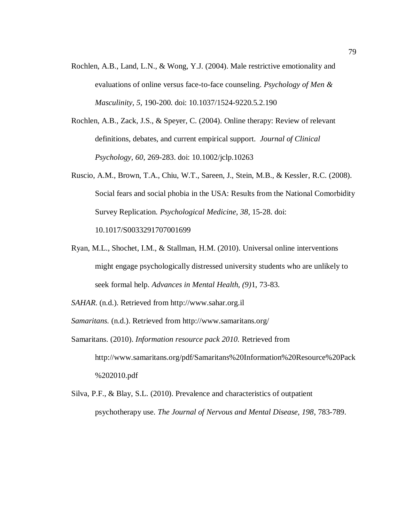- Rochlen, A.B., Land, L.N., & Wong, Y.J. (2004). Male restrictive emotionality and evaluations of online versus face-to-face counseling. *Psychology of Men & Masculinity, 5,* 190-200. doi: 10.1037/1524-9220.5.2.190
- Rochlen, A.B., Zack, J.S., & Speyer, C. (2004). Online therapy: Review of relevant definitions, debates, and current empirical support. *Journal of Clinical Psychology, 60*, 269-283. doi: 10.1002/jclp.10263
- Ruscio, A.M., Brown, T.A., Chiu, W.T., Sareen, J., Stein, M.B., & Kessler, R.C. (2008). Social fears and social phobia in the USA: Results from the National Comorbidity Survey Replication. *Psychological Medicine, 38*, 15-28. doi: 10.1017/S0033291707001699
- Ryan, M.L., Shochet, I.M., & Stallman, H.M. (2010). Universal online interventions might engage psychologically distressed university students who are unlikely to seek formal help. *Advances in Mental Health, (9)*1, 73-83.
- *SAHAR*. (n.d.). Retrieved from http://www.sahar.org.il
- *Samaritans.* (n.d.). Retrieved from<http://www.samaritans.org/>
- Samaritans. (2010). *Information resource pack 2010.* Retrieved from [http://www.samaritans.org/pdf/Samaritans%20Information%20Resource%20Pack](http://www.samaritans.org/pdf/Samaritans%20Information%20Resource%20Pack%202010.pdf) [%202010.pdf](http://www.samaritans.org/pdf/Samaritans%20Information%20Resource%20Pack%202010.pdf)
- Silva, P.F., & Blay, S.L. (2010). Prevalence and characteristics of outpatient psychotherapy use. *The Journal of Nervous and Mental Disease, 198*, 783-789.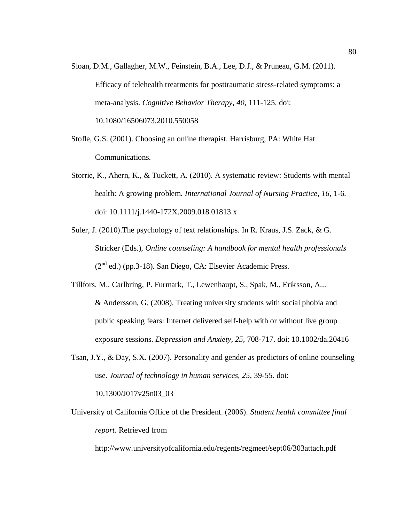- Sloan, D.M., Gallagher, M.W., Feinstein, B.A., Lee, D.J., & Pruneau, G.M. (2011). Efficacy of telehealth treatments for posttraumatic stress-related symptoms: a meta-analysis. *Cognitive Behavior Therapy, 40,* 111-125. doi: 10.1080/16506073.2010.550058
- Stofle, G.S. (2001). Choosing an online therapist. Harrisburg, PA: White Hat Communications.
- Storrie, K., Ahern, K., & Tuckett, A. (2010). A systematic review: Students with mental health: A growing problem. *International Journal of Nursing Practice, 16, 1-6*. doi: 10.1111/j.1440-172X.2009.018.01813.x
- Suler, J. (2010).The psychology of text relationships. In R. Kraus, J.S. Zack, & G. Stricker (Eds.), *Online counseling: A handbook for mental health professionals* (2nd ed.) (pp.3-18). San Diego, CA: Elsevier Academic Press.
- Tillfors, M., Carlbring, P. Furmark, T., Lewenhaupt, S., Spak, M., Eriksson, A... & Andersson, G. (2008). Treating university students with social phobia and public speaking fears: Internet delivered self-help with or without live group exposure sessions. *Depression and Anxiety, 25,* 708-717. doi: 10.1002/da.20416
- Tsan, J.Y., & Day, S.X. (2007). Personality and gender as predictors of online counseling use. *Journal of technology in human services, 25,* 39-55. doi: 10.1300/J017v25n03\_03
- University of California Office of the President. (2006). *Student health committee final report.* Retrieved from

<http://www.universityofcalifornia.edu/regents/regmeet/sept06/303attach.pdf>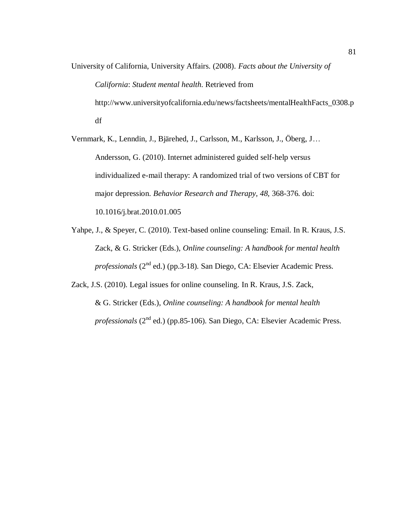University of California, University Affairs. (2008). *Facts about the University of California*: *Student mental health*. Retrieved from [http://www.universityofcalifornia.edu/news/factsheets/mentalHealthFacts\\_0308.p](http://www.universityofcalifornia.edu/news/factsheets/mentalHealthFacts_0308.pdf) [df](http://www.universityofcalifornia.edu/news/factsheets/mentalHealthFacts_0308.pdf)

Vernmark, K., Lenndin, J., Bjärehed, J., Carlsson, M., Karlsson, J., Öberg, J… Andersson, G. (2010). Internet administered guided self-help versus individualized e-mail therapy: A randomized trial of two versions of CBT for major depression. *Behavior Research and Therapy, 48,* 368-376. doi: 10.1016/j.brat.2010.01.005

Yahpe, J., & Speyer, C. (2010). Text-based online counseling: Email. In R. Kraus, J.S. Zack, & G. Stricker (Eds.), *Online counseling: A handbook for mental health professionals* (2nd ed.) (pp.3-18). San Diego, CA: Elsevier Academic Press.

Zack, J.S. (2010). Legal issues for online counseling. In R. Kraus, J.S. Zack, & G. Stricker (Eds.), *Online counseling: A handbook for mental health professionals* (2<sup>nd</sup> ed.) (pp.85-106). San Diego, CA: Elsevier Academic Press.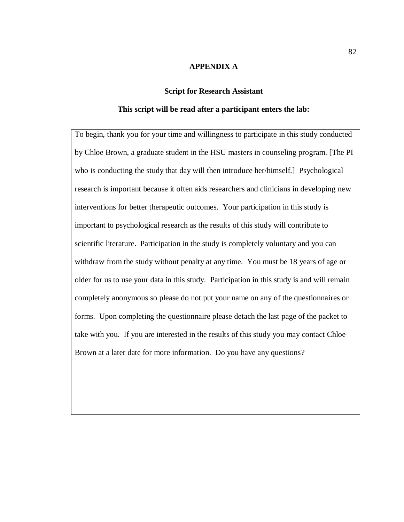### **APPENDIX A**

### **Script for Research Assistant**

### **This script will be read after a participant enters the lab:**

To begin, thank you for your time and willingness to participate in this study conducted by Chloe Brown, a graduate student in the HSU masters in counseling program. [The PI who is conducting the study that day will then introduce her/himself.] Psychological research is important because it often aids researchers and clinicians in developing new interventions for better therapeutic outcomes. Your participation in this study is important to psychological research as the results of this study will contribute to scientific literature. Participation in the study is completely voluntary and you can withdraw from the study without penalty at any time. You must be 18 years of age or older for us to use your data in this study. Participation in this study is and will remain completely anonymous so please do not put your name on any of the questionnaires or forms. Upon completing the questionnaire please detach the last page of the packet to take with you. If you are interested in the results of this study you may contact Chloe Brown at a later date for more information. Do you have any questions?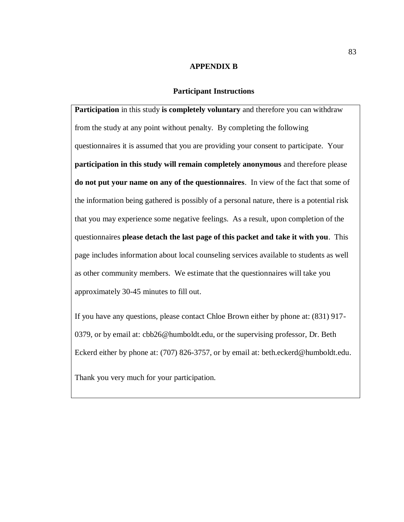### **APPENDIX B**

### **Participant Instructions**

**Participation** in this study **is completely voluntary** and therefore you can withdraw from the study at any point without penalty. By completing the following questionnaires it is assumed that you are providing your consent to participate. Your **participation in this study will remain completely anonymous** and therefore please **do not put your name on any of the questionnaires**. In view of the fact that some of the information being gathered is possibly of a personal nature, there is a potential risk that you may experience some negative feelings. As a result, upon completion of the questionnaires **please detach the last page of this packet and take it with you**. This page includes information about local counseling services available to students as well as other community members. We estimate that the questionnaires will take you approximately 30-45 minutes to fill out.

If you have any questions, please contact Chloe Brown either by phone at: (831) 917- 0379, or by email at: [cbb26@humboldt.edu,](mailto:cbb26@humboldt.edu) or the supervising professor, Dr. Beth Eckerd either by phone at: (707) 826-3757, or by email at: beth.eckerd@humboldt.edu.

Thank you very much for your participation.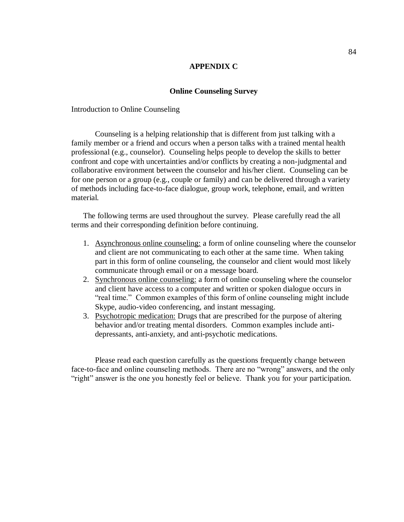### **APPENDIX C**

### **Online Counseling Survey**

Introduction to Online Counseling

Counseling is a helping relationship that is different from just talking with a family member or a friend and occurs when a person talks with a trained mental health professional (e.g., counselor). Counseling helps people to develop the skills to better confront and cope with uncertainties and/or conflicts by creating a non-judgmental and collaborative environment between the counselor and his/her client. Counseling can be for one person or a group (e.g., couple or family) and can be delivered through a variety of methods including face-to-face dialogue, group work, telephone, email, and written material.

The following terms are used throughout the survey. Please carefully read the all terms and their corresponding definition before continuing.

- 1. Asynchronous online counseling: a form of online counseling where the counselor and client are not communicating to each other at the same time. When taking part in this form of online counseling, the counselor and client would most likely communicate through email or on a message board.
- 2. Synchronous online counseling: a form of online counseling where the counselor and client have access to a computer and written or spoken dialogue occurs in "real time." Common examples of this form of online counseling might include Skype, audio-video conferencing, and instant messaging.
- 3. Psychotropic medication: Drugs that are prescribed for the purpose of altering behavior and/or treating mental disorders. Common examples include antidepressants, anti-anxiety, and anti-psychotic medications.

Please read each question carefully as the questions frequently change between face-to-face and online counseling methods. There are no "wrong" answers, and the only "right" answer is the one you honestly feel or believe. Thank you for your participation.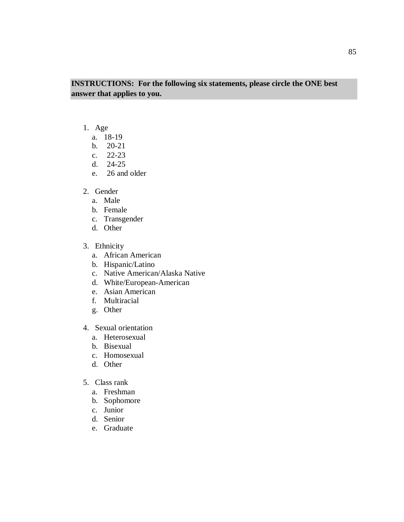# **INSTRUCTIONS: For the following six statements, please circle the ONE best answer that applies to you.**

- 1. Age
	- a. 18-19
	- b. 20-21
	- c. 22-23
	- d. 24-25
	- e. 26 and older
- 2. Gender
	- a. Male
	- b. Female
	- c. Transgender
	- d. Other
- 3. Ethnicity
	- a. African American
	- b. Hispanic/Latino
	- c. Native American/Alaska Native
	- d. White/European-American
	- e. Asian American
	- f. Multiracial
	- g. Other
- 4. Sexual orientation
	- a. Heterosexual
	- b. Bisexual
	- c. Homosexual
	- d. Other
- 5. Class rank
	- a. Freshman
	- b. Sophomore
	- c. Junior
	- d. Senior
	- e. Graduate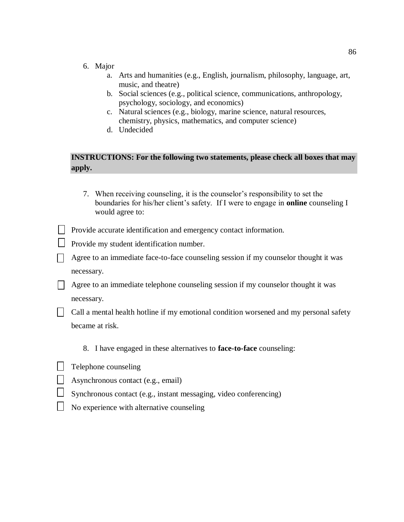- 6. Major
	- a. Arts and humanities (e.g., English, journalism, philosophy, language, art, music, and theatre)
	- b. Social sciences (e.g., political science, communications, anthropology, psychology, sociology, and economics)
	- c. Natural sciences (e.g., biology, marine science, natural resources, chemistry, physics, mathematics, and computer science)
	- d. Undecided

## **INSTRUCTIONS: For the following two statements, please check all boxes that may apply.**

- 7. When receiving counseling, it is the counselor's responsibility to set the boundaries for his/her client's safety. If I were to engage in **online** counseling I would agree to:
- | Provide accurate identification and emergency contact information.
- $\Box$  Provide my student identification number.
- $\Box$  Agree to an immediate face-to-face counseling session if my counselor thought it was necessary.
- $\Box$  Agree to an immediate telephone counseling session if my counselor thought it was necessary.
- Call a mental health hotline if my emotional condition worsened and my personal safety became at risk.
	- 8. I have engaged in these alternatives to **face-to-face** counseling:
- | Telephone counseling
- Asynchronous contact (e.g., email)
- $\Box$  Synchronous contact (e.g., instant messaging, video conferencing)
	- No experience with alternative counseling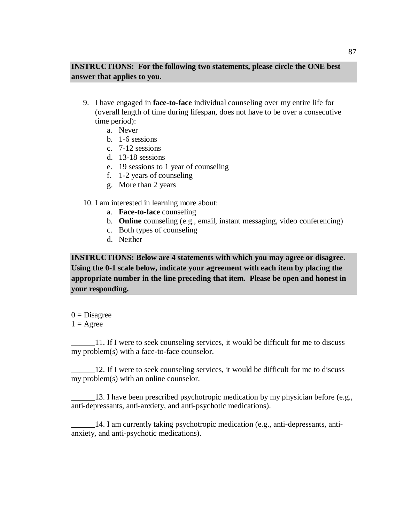### **INSTRUCTIONS: For the following two statements, please circle the ONE best answer that applies to you.**

- 9. I have engaged in **face-to-face** individual counseling over my entire life for (overall length of time during lifespan, does not have to be over a consecutive time period):
	- a. Never
	- b. 1-6 sessions
	- c. 7-12 sessions
	- d. 13-18 sessions
	- e. 19 sessions to 1 year of counseling
	- f. 1-2 years of counseling
	- g. More than 2 years

### 10. I am interested in learning more about:

- a. **Face-to-face** counseling
- b. **Online** counseling (e.g., email, instant messaging, video conferencing)
- c. Both types of counseling
- d. Neither

**INSTRUCTIONS: Below are 4 statements with which you may agree or disagree. Using the 0-1 scale below, indicate your agreement with each item by placing the appropriate number in the line preceding that item. Please be open and honest in your responding.**

 $0 = Disagree$ 

 $1 = \text{Agree}$ 

\_\_\_\_\_\_11. If I were to seek counseling services, it would be difficult for me to discuss my problem(s) with a face-to-face counselor.

\_\_\_\_\_\_12. If I were to seek counseling services, it would be difficult for me to discuss my problem(s) with an online counselor.

\_\_\_\_\_\_13. I have been prescribed psychotropic medication by my physician before (e.g., anti-depressants, anti-anxiety, and anti-psychotic medications).

\_\_\_\_\_\_14. I am currently taking psychotropic medication (e.g., anti-depressants, antianxiety, and anti-psychotic medications).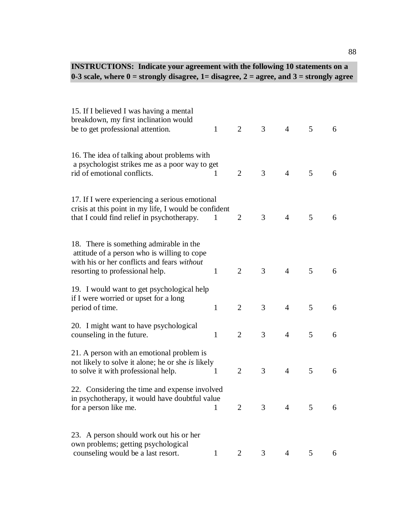# **INSTRUCTIONS: Indicate your agreement with the following 10 statements on a 0-3 scale, where 0 = strongly disagree, 1= disagree, 2 = agree, and 3 = strongly agree**

| 15. If I believed I was having a mental<br>breakdown, my first inclination would<br>be to get professional attention.                                                    | 1            | 2              | 3 | $\overline{4}$ | 5 | 6 |
|--------------------------------------------------------------------------------------------------------------------------------------------------------------------------|--------------|----------------|---|----------------|---|---|
| 16. The idea of talking about problems with<br>a psychologist strikes me as a poor way to get<br>rid of emotional conflicts.                                             | 1            | $\overline{2}$ | 3 | $\overline{4}$ | 5 | 6 |
| 17. If I were experiencing a serious emotional<br>crisis at this point in my life, I would be confident<br>that I could find relief in psychotherapy.                    |              | 2              | 3 | 4              | 5 | 6 |
| 18. There is something admirable in the<br>attitude of a person who is willing to cope<br>with his or her conflicts and fears without<br>resorting to professional help. | $\mathbf{1}$ | $\overline{2}$ | 3 | $\overline{4}$ | 5 | 6 |
| 19. I would want to get psychological help<br>if I were worried or upset for a long<br>period of time.                                                                   | $\mathbf{1}$ | $\overline{2}$ | 3 | $\overline{4}$ | 5 | 6 |
| 20. I might want to have psychological<br>counseling in the future.                                                                                                      | $\mathbf{1}$ | $\overline{2}$ | 3 | $\overline{4}$ | 5 | 6 |
| 21. A person with an emotional problem is<br>not likely to solve it alone; he or she is likely<br>to solve it with professional help.                                    | 1            | $\overline{2}$ | 3 | $\overline{4}$ | 5 | 6 |
| 22. Considering the time and expense involved<br>in psychotherapy, it would have doubtful value<br>for a person like me.                                                 | 1            | 2              | 3 | $\overline{4}$ | 5 | 6 |
| 23. A person should work out his or her<br>own problems; getting psychological<br>counseling would be a last resort.                                                     | $\mathbf{1}$ | 2              | 3 | $\overline{4}$ | 5 | 6 |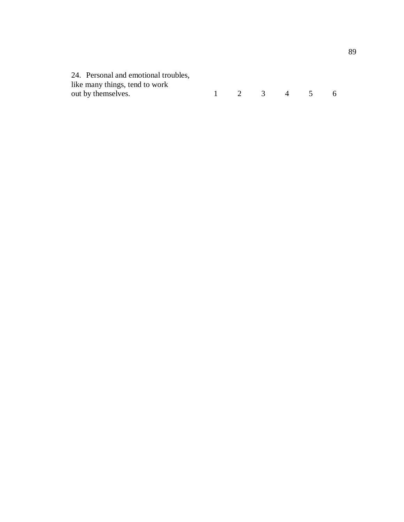24. Personal and emotional troubles, like many things, tend to work

| like many things, tend to work |  |                         |  |
|--------------------------------|--|-------------------------|--|
| out by themselves.             |  | $1 \t2 \t3 \t4 \t5 \t6$ |  |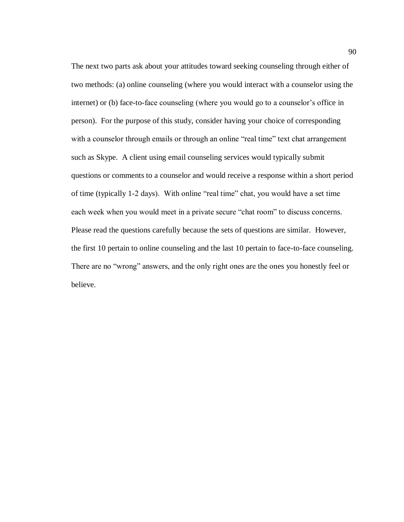The next two parts ask about your attitudes toward seeking counseling through either of two methods: (a) online counseling (where you would interact with a counselor using the internet) or (b) face-to-face counseling (where you would go to a counselor's office in person). For the purpose of this study, consider having your choice of corresponding with a counselor through emails or through an online "real time" text chat arrangement such as Skype. A client using email counseling services would typically submit questions or comments to a counselor and would receive a response within a short period of time (typically 1-2 days). With online "real time" chat, you would have a set time each week when you would meet in a private secure "chat room" to discuss concerns. Please read the questions carefully because the sets of questions are similar. However, the first 10 pertain to online counseling and the last 10 pertain to face-to-face counseling. There are no "wrong" answers, and the only right ones are the ones you honestly feel or believe.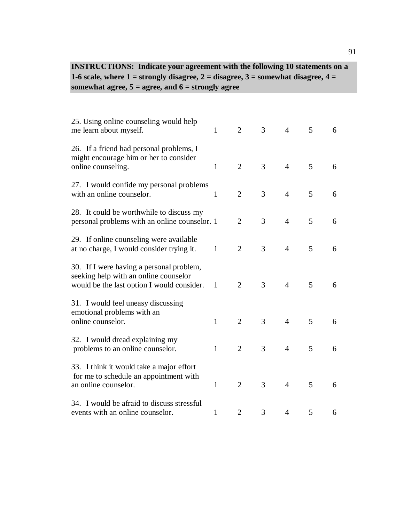# **INSTRUCTIONS: Indicate your agreement with the following 10 statements on a 1-6 scale, where 1 = strongly disagree, 2 = disagree, 3 = somewhat disagree, 4 = somewhat agree, 5 = agree, and 6 = strongly agree**

| 25. Using online counseling would help<br>me learn about myself.                                                                | $\mathbf{1}$ | $\overline{2}$ | 3 | $\overline{4}$ | 5 | 6 |
|---------------------------------------------------------------------------------------------------------------------------------|--------------|----------------|---|----------------|---|---|
| 26. If a friend had personal problems, I<br>might encourage him or her to consider<br>online counseling.                        | $\mathbf{1}$ | $\overline{2}$ | 3 | $\overline{4}$ | 5 | 6 |
| 27. I would confide my personal problems<br>with an online counselor.                                                           | 1            | $\overline{2}$ | 3 | $\overline{4}$ | 5 | 6 |
| 28. It could be worthwhile to discuss my<br>personal problems with an online counselor. 1                                       |              | $\overline{2}$ | 3 | $\overline{4}$ | 5 | 6 |
| 29. If online counseling were available<br>at no charge, I would consider trying it.                                            | $\mathbf{1}$ | $\overline{2}$ | 3 | $\overline{4}$ | 5 | 6 |
| 30. If I were having a personal problem,<br>seeking help with an online counselor<br>would be the last option I would consider. | $\mathbf{1}$ | $\overline{2}$ | 3 | $\overline{4}$ | 5 | 6 |
| 31. I would feel uneasy discussing<br>emotional problems with an<br>online counselor.                                           | $\mathbf{1}$ | $\overline{2}$ | 3 | $\overline{4}$ | 5 | 6 |
| 32. I would dread explaining my<br>problems to an online counselor.                                                             | $\mathbf{1}$ | $\overline{2}$ | 3 | $\overline{4}$ | 5 | 6 |
| 33. I think it would take a major effort<br>for me to schedule an appointment with<br>an online counselor.                      | $\mathbf{1}$ | $\overline{2}$ | 3 | $\overline{4}$ | 5 | 6 |
| 34. I would be afraid to discuss stressful<br>events with an online counselor.                                                  | $\mathbf{1}$ | $\overline{2}$ | 3 | $\overline{4}$ | 5 | 6 |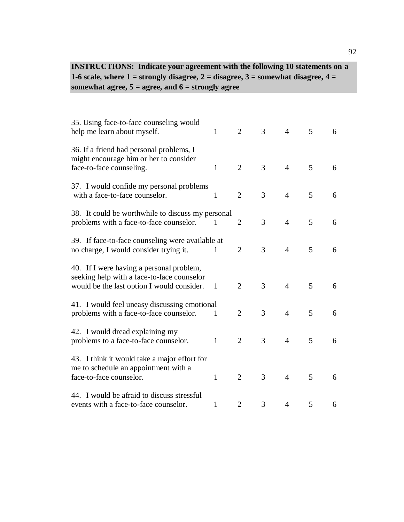# **INSTRUCTIONS: Indicate your agreement with the following 10 statements on a 1-6 scale, where 1 = strongly disagree, 2 = disagree, 3 = somewhat disagree, 4 = somewhat agree, 5 = agree, and 6 = strongly agree**

| 35. Using face-to-face counseling would<br>help me learn about myself.                                                               | $\mathbf{1}$ | $\overline{2}$ | 3 | 4              | 5 | 6 |
|--------------------------------------------------------------------------------------------------------------------------------------|--------------|----------------|---|----------------|---|---|
| 36. If a friend had personal problems, I<br>might encourage him or her to consider<br>face-to-face counseling.                       | $\mathbf{1}$ | $\overline{2}$ | 3 | $\overline{4}$ | 5 | 6 |
| 37. I would confide my personal problems<br>with a face-to-face counselor.                                                           | $\mathbf{1}$ | $\overline{2}$ | 3 | $\overline{4}$ | 5 | 6 |
| 38. It could be worthwhile to discuss my personal<br>problems with a face-to-face counselor.                                         | 1            | $\overline{2}$ | 3 | $\overline{4}$ | 5 | 6 |
| 39. If face-to-face counseling were available at<br>no charge, I would consider trying it.                                           | 1            | $\overline{2}$ | 3 | $\overline{4}$ | 5 | 6 |
| 40. If I were having a personal problem,<br>seeking help with a face-to-face counselor<br>would be the last option I would consider. | $\mathbf{1}$ | $\overline{2}$ | 3 | 4              | 5 | 6 |
| 41. I would feel uneasy discussing emotional<br>problems with a face-to-face counselor.                                              | 1            | $\overline{2}$ | 3 | $\overline{4}$ | 5 | 6 |
| 42. I would dread explaining my<br>problems to a face-to-face counselor.                                                             | $\mathbf{1}$ | $\overline{2}$ | 3 | 4              | 5 | 6 |
| 43. I think it would take a major effort for<br>me to schedule an appointment with a<br>face-to-face counselor.                      | $\mathbf{1}$ | $\overline{2}$ | 3 | $\overline{4}$ | 5 | 6 |
| 44. I would be a fraid to discuss stressful<br>events with a face-to-face counselor.                                                 | $\mathbf{1}$ | $\overline{2}$ | 3 | 4              | 5 | 6 |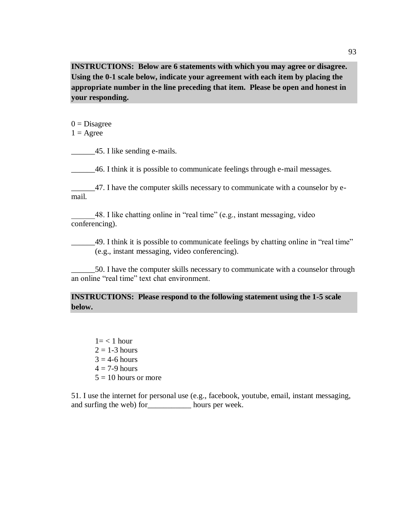**INSTRUCTIONS: Below are 6 statements with which you may agree or disagree. Using the 0-1 scale below, indicate your agreement with each item by placing the appropriate number in the line preceding that item. Please be open and honest in your responding.**

 $0 = Disagree$  $1 = \text{Agree}$ 

<sup>45</sup>. I like sending e-mails.

\_\_\_\_\_\_46. I think it is possible to communicate feelings through e-mail messages.

\_\_\_\_\_\_47. I have the computer skills necessary to communicate with a counselor by email.

\_\_\_\_\_\_48. I like chatting online in "real time" (e.g., instant messaging, video conferencing).

\_\_\_\_\_\_49. I think it is possible to communicate feelings by chatting online in "real time" (e.g., instant messaging, video conferencing).

\_\_\_\_\_\_50. I have the computer skills necessary to communicate with a counselor through an online "real time" text chat environment.

**INSTRUCTIONS: Please respond to the following statement using the 1-5 scale below.**

 $1 = < 1$  hour  $2 = 1-3$  hours  $3 = 4-6$  hours  $4 = 7-9$  hours  $5 = 10$  hours or more

51. I use the internet for personal use (e.g., facebook, youtube, email, instant messaging, and surfing the web) for hours per week.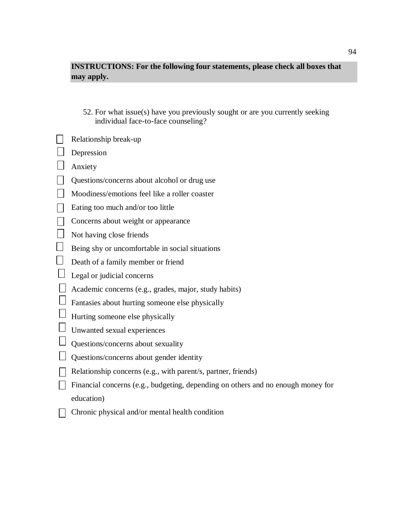## **INSTRUCTIONS: For the following four statements, please check all boxes that may apply.**

- 52. For what issue(s) have you previously sought or are you currently seeking individual face-to-face counseling?
- $\Box$  Relationship break-up
- Depression
- **Sales** Anxiety
- Questions/concerns about alcohol or drug use
- Moodiness/emotions feel like a roller coaster
- Eating too much and/or too little
- $\Box$  Concerns about weight or appearance
- $\Box$  Not having close friends
- $\Box$  Being shy or uncomfortable in social situations
- $\Box$  Death of a family member or friend
- $\Box$  Legal or judicial concerns
- Academic concerns (e.g., grades, major, study habits)
- $\Box$  Fantasies about hurting someone else physically
- $\Box$  Hurting someone else physically
- Unwanted sexual experiences
- $\Box$  Questions/concerns about sexuality
- Questions/concerns about gender identity
- $\Box$  Relationship concerns (e.g., with parent/s, partner, friends)
- Financial concerns (e.g., budgeting, depending on others and no enough money for education)
- $\Box$  Chronic physical and/or mental health condition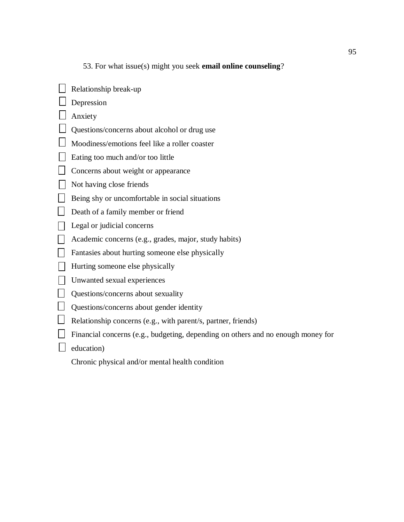53. For what issue(s) might you seek **email online counseling**?

| Relationship break-up                                                            |
|----------------------------------------------------------------------------------|
| Depression                                                                       |
| Anxiety                                                                          |
| Questions/concerns about alcohol or drug use                                     |
| Moodiness/emotions feel like a roller coaster                                    |
| Eating too much and/or too little                                                |
| Concerns about weight or appearance                                              |
| Not having close friends                                                         |
| Being shy or uncomfortable in social situations                                  |
| Death of a family member or friend                                               |
| Legal or judicial concerns                                                       |
| Academic concerns (e.g., grades, major, study habits)                            |
| Fantasies about hurting someone else physically                                  |
| Hurting someone else physically                                                  |
| Unwanted sexual experiences                                                      |
| Questions/concerns about sexuality                                               |
| Questions/concerns about gender identity                                         |
| Relationship concerns (e.g., with parent/s, partner, friends)                    |
| Financial concerns (e.g., budgeting, depending on others and no enough money for |
| education)                                                                       |

Chronic physical and/or mental health condition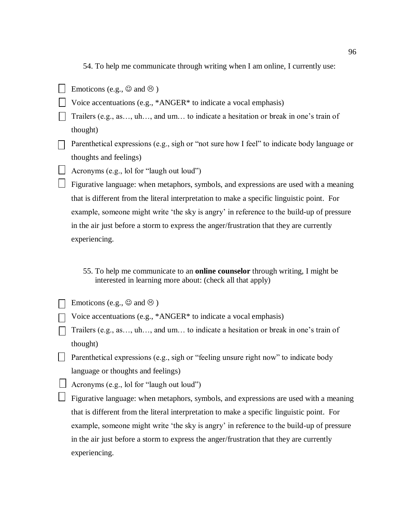54. To help me communicate through writing when I am online, I currently use:

- $\vert \vert$  Emoticons (e.g.,  $\odot$  and  $\odot$ )
- $\vert \vert$  Voice accentuations (e.g., \*ANGER\* to indicate a vocal emphasis)
- $\Box$  Trailers (e.g., as..., uh..., and um... to indicate a hesitation or break in one's train of thought)
	- Parenthetical expressions (e.g., sigh or "not sure how I feel" to indicate body language or thoughts and feelings)
- $\Box$  Acronyms (e.g., lol for "laugh out loud")
	- Figurative language: when metaphors, symbols, and expressions are used with a meaning that is different from the literal interpretation to make a specific linguistic point. For example, someone might write 'the sky is angry' in reference to the build-up of pressure in the air just before a storm to express the anger/frustration that they are currently experiencing.

### 55. To help me communicate to an **online counselor** through writing, I might be interested in learning more about: (check all that apply)

- Emoticons (e.g.,  $\odot$  and  $\odot$ )
- Voice accentuations (e.g., \*ANGER\* to indicate a vocal emphasis)
- Trailers (e.g., as..., uh..., and um... to indicate a hesitation or break in one's train of thought)
- $\vert \vert$  Parenthetical expressions (e.g., sigh or "feeling unsure right now" to indicate body language or thoughts and feelings)
- $\Box$  Acronyms (e.g., lol for "laugh out loud")
- $\Box$  Figurative language: when metaphors, symbols, and expressions are used with a meaning that is different from the literal interpretation to make a specific linguistic point. For example, someone might write 'the sky is angry' in reference to the build-up of pressure in the air just before a storm to express the anger/frustration that they are currently experiencing.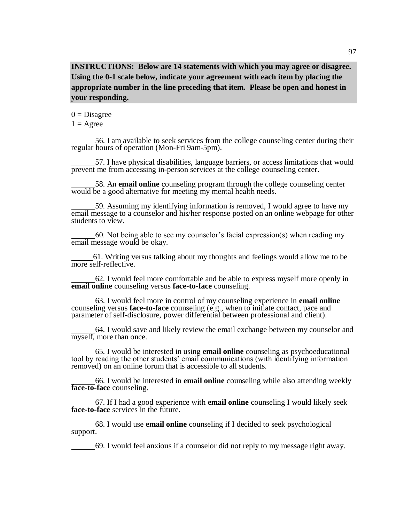**INSTRUCTIONS: Below are 14 statements with which you may agree or disagree. Using the 0-1 scale below, indicate your agreement with each item by placing the appropriate number in the line preceding that item. Please be open and honest in your responding.**

 $0 = Disagree$ 

 $1 = \text{Agree}$ 

 56. I am available to seek services from the college counseling center during their regular hours of operation (Mon-Fri 9am-5pm).

 57. I have physical disabilities, language barriers, or access limitations that would prevent me from accessing in-person services at the college counseling center.

 58. An **email online** counseling program through the college counseling center would be a good alternative for meeting my mental health needs.

 59. Assuming my identifying information is removed, I would agree to have my email message to a counselor and his/her response posted on an online webpage for other students to view.

 60. Not being able to see my counselor's facial expression(s) when reading my email message would be okay.

 61. Writing versus talking about my thoughts and feelings would allow me to be more self-reflective.

 62. I would feel more comfortable and be able to express myself more openly in **email online** counseling versus **face-to-face** counseling.

 63. I would feel more in control of my counseling experience in **email online** counseling versus **face-to-face** counseling (e.g., when to initiate contact, pace and parameter of self-disclosure, power differential between professional and client).

 64. I would save and likely review the email exchange between my counselor and myself, more than once.

 65. I would be interested in using **email online** counseling as psychoeducational tool by reading the other students' email communications (with identifying information removed) on an online forum that is accessible to all students.

 66. I would be interested in **email online** counseling while also attending weekly **face-to-face** counseling.

 67. If I had a good experience with **email online** counseling I would likely seek **face-to-face** services in the future.

 68. I would use **email online** counseling if I decided to seek psychological support.

69. I would feel anxious if a counselor did not reply to my message right away.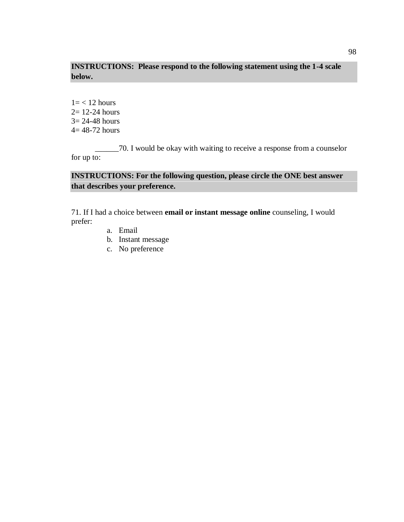## **INSTRUCTIONS: Please respond to the following statement using the 1-4 scale below.**

 $1 = < 12$  hours 2= 12-24 hours 3= 24-48 hours 4= 48-72 hours

\_\_\_\_\_\_70. I would be okay with waiting to receive a response from a counselor for up to:

## **INSTRUCTIONS: For the following question, please circle the ONE best answer that describes your preference.**

71. If I had a choice between **email or instant message online** counseling, I would prefer:

- a. Email
- b. Instant message
- c. No preference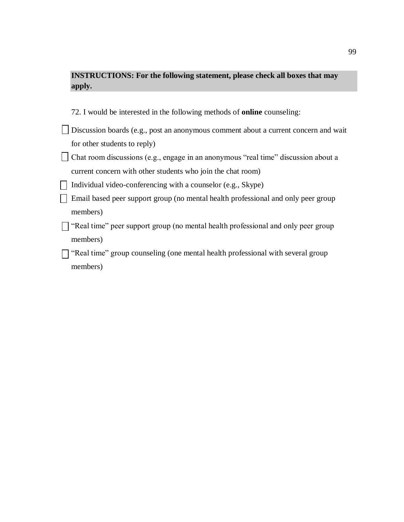| <b>INSTRUCTIONS:</b> For the following statement, please check all boxes that may |  |
|-----------------------------------------------------------------------------------|--|
| apply.                                                                            |  |

| 72. I would be interested in the following methods of <b>online</b> counseling:            |
|--------------------------------------------------------------------------------------------|
| $\Box$ Discussion boards (e.g., post an anonymous comment about a current concern and wait |
| for other students to reply)                                                               |
| $\Box$ Chat room discussions (e.g., engage in an anonymous "real time" discussion about a  |
| current concern with other students who join the chat room)                                |
| Individual video-conferencing with a counselor (e.g., Skype)                               |
| Email based peer support group (no mental health professional and only peer group          |
| members)                                                                                   |
| "Real time" peer support group (no mental health professional and only peer group          |
| members)                                                                                   |
| $\Box$ "Real time" group counseling (one mental health professional with several group     |

members)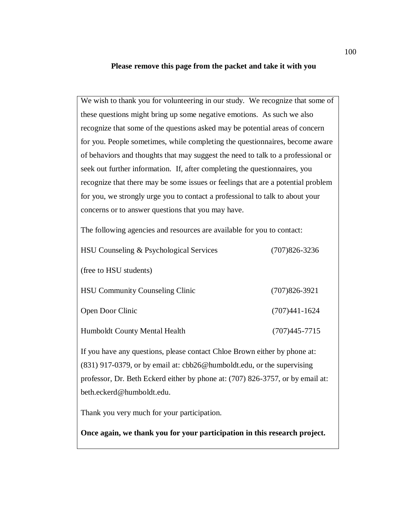## **Please remove this page from the packet and take it with you**

| We wish to thank you for volunteering in our study. We recognize that some of    |                   |  |
|----------------------------------------------------------------------------------|-------------------|--|
| these questions might bring up some negative emotions. As such we also           |                   |  |
| recognize that some of the questions asked may be potential areas of concern     |                   |  |
| for you. People sometimes, while completing the questionnaires, become aware     |                   |  |
| of behaviors and thoughts that may suggest the need to talk to a professional or |                   |  |
| seek out further information. If, after completing the questionnaires, you       |                   |  |
| recognize that there may be some issues or feelings that are a potential problem |                   |  |
| for you, we strongly urge you to contact a professional to talk to about your    |                   |  |
| concerns or to answer questions that you may have.                               |                   |  |
| The following agencies and resources are available for you to contact:           |                   |  |
| HSU Counseling & Psychological Services                                          | $(707)826 - 3236$ |  |
| (free to HSU students)                                                           |                   |  |
| <b>HSU Community Counseling Clinic</b>                                           | $(707)826 - 3921$ |  |
| Open Door Clinic                                                                 | $(707)441 - 1624$ |  |
| Humboldt County Mental Health                                                    | $(707)445 - 7715$ |  |

If you have any questions, please contact Chloe Brown either by phone at: (831) 917-0379, or by email at: [cbb26@humboldt.edu,](mailto:cbb26@humboldt.edu) or the supervising professor, Dr. Beth Eckerd either by phone at: (707) 826-3757, or by email at: beth.eckerd@humboldt.edu.

Thank you very much for your participation.

**Once again, we thank you for your participation in this research project.**